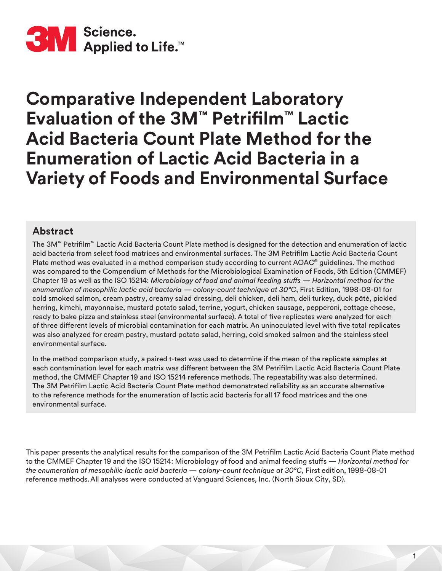

# **Comparative Independent Laboratory Evaluation of the 3M™ Petrifilm™ Lactic Acid Bacteria Count Plate Method for the Enumeration of Lactic Acid Bacteria in a Variety of Foods and Environmental Surface**

# **Abstract**

The 3M™ Petrifilm™ Lactic Acid Bacteria Count Plate method is designed for the detection and enumeration of lactic acid bacteria from select food matrices and environmental surfaces. The 3M Petrifilm Lactic Acid Bacteria Count Plate method was evaluated in a method comparison study according to current AOAC® guidelines. The method was compared to the Compendium of Methods for the Microbiological Examination of Foods, 5th Edition (CMMEF) Chapter 19 as well as the ISO 15214: *Microbiology of food and animal feeding stuffs — Horizontal method for the enumeration of mesophilic lactic acid bacteria — colony-count technique at 30°C*, First Edition, 1998-08-01 for cold smoked salmon, cream pastry, creamy salad dressing, deli chicken, deli ham, deli turkey, duck pâté, pickled herring, kimchi, mayonnaise, mustard potato salad, terrine, yogurt, chicken sausage, pepperoni, cottage cheese, ready to bake pizza and stainless steel (environmental surface). A total of five replicates were analyzed for each of three different levels of microbial contamination for each matrix. An uninoculated level with five total replicates was also analyzed for cream pastry, mustard potato salad, herring, cold smoked salmon and the stainless steel environmental surface.

In the method comparison study, a paired t-test was used to determine if the mean of the replicate samples at each contamination level for each matrix was different between the 3M Petrifilm Lactic Acid Bacteria Count Plate method, the CMMEF Chapter 19 and ISO 15214 reference methods. The repeatability was also determined. The 3M Petrifilm Lactic Acid Bacteria Count Plate method demonstrated reliability as an accurate alternative to the reference methods for the enumeration of lactic acid bacteria for all 17 food matrices and the one environmental surface.

This paper presents the analytical results for the comparison of the 3M Petrifilm Lactic Acid Bacteria Count Plate method to the CMMEF Chapter 19 and the ISO 15214: Microbiology of food and animal feeding stuffs — *Horizontal method for the enumeration of mesophilic lactic acid bacteria — colony-count technique at 30°C*, First edition, 1998-08-01 reference methods.All analyses were conducted at Vanguard Sciences, Inc. (North Sioux City, SD).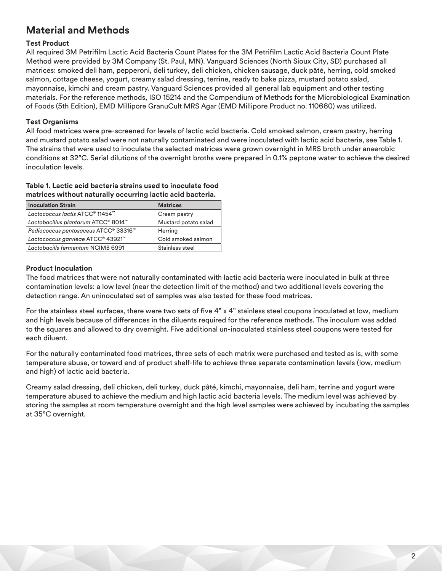# **Material and Methods**

# **Test Product**

All required 3M Petrifilm Lactic Acid Bacteria Count Plates for the 3M Petrifilm Lactic Acid Bacteria Count Plate Method were provided by 3M Company (St. Paul, MN). Vanguard Sciences (North Sioux City, SD) purchased all matrices: smoked deli ham, pepperoni, deli turkey, deli chicken, chicken sausage, duck pâté, herring, cold smoked salmon, cottage cheese, yogurt, creamy salad dressing, terrine, ready to bake pizza, mustard potato salad, mayonnaise, kimchi and cream pastry. Vanguard Sciences provided all general lab equipment and other testing materials. For the reference methods, ISO 15214 and the Compendium of Methods for the Microbiological Examination of Foods (5th Edition), EMD Millipore GranuCult MRS Agar (EMD Millipore Product no. 110660) was utilized.

# **Test Organisms**

All food matrices were pre-screened for levels of lactic acid bacteria. Cold smoked salmon, cream pastry, herring and mustard potato salad were not naturally contaminated and were inoculated with lactic acid bacteria, see Table 1. The strains that were used to inoculate the selected matrices were grown overnight in MRS broth under anaerobic conditions at 32°C. Serial dilutions of the overnight broths were prepared in 0.1% peptone water to achieve the desired inoculation levels.

#### **Table 1. Lactic acid bacteria strains used to inoculate food matrices without naturally occurring lactic acid bacteria.**

| <b>Inoculation Strain</b>                               | <b>Matrices</b>      |
|---------------------------------------------------------|----------------------|
| Lactococcus lactis ATCC <sup>®</sup> 11454 <sup>™</sup> | Cream pastry         |
| Lactobacillus plantarum ATCC® 8014™                     | Mustard potato salad |
| Pediococcus pentosaceus ATCC® 33316™                    | Herring              |
| Lactococcus garvieae ATCC® 43921™                       | Cold smoked salmon   |
| Lactobacills fermentum NCIMB 6991                       | Stainless steel      |

# **Product Inoculation**

The food matrices that were not naturally contaminated with lactic acid bacteria were inoculated in bulk at three contamination levels: a low level (near the detection limit of the method) and two additional levels covering the detection range. An uninoculated set of samples was also tested for these food matrices.

For the stainless steel surfaces, there were two sets of five 4" x 4" stainless steel coupons inoculated at low, medium and high levels because of differences in the diluents required for the reference methods. The inoculum was added to the squares and allowed to dry overnight. Five additional un-inoculated stainless steel coupons were tested for each diluent.

For the naturally contaminated food matrices, three sets of each matrix were purchased and tested as is, with some temperature abuse, or toward end of product shelf-life to achieve three separate contamination levels (low, medium and high) of lactic acid bacteria.

Creamy salad dressing, deli chicken, deli turkey, duck pâté, kimchi, mayonnaise, deli ham, terrine and yogurt were temperature abused to achieve the medium and high lactic acid bacteria levels. The medium level was achieved by storing the samples at room temperature overnight and the high level samples were achieved by incubating the samples at 35°C overnight.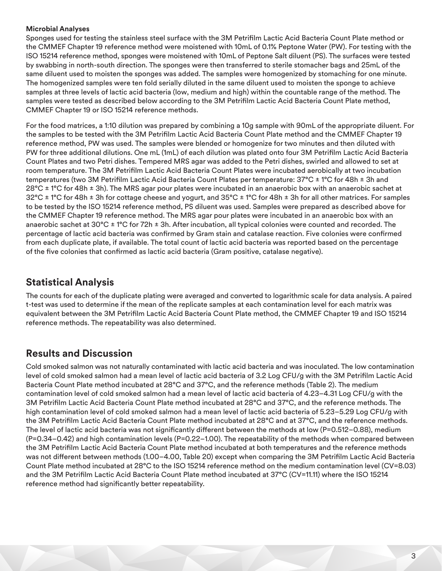## **Microbial Analyses**

Sponges used for testing the stainless steel surface with the 3M Petrifilm Lactic Acid Bacteria Count Plate method or the CMMEF Chapter 19 reference method were moistened with 10mL of 0.1% Peptone Water (PW). For testing with the ISO 15214 reference method, sponges were moistened with 10mL of Peptone Salt diluent (PS). The surfaces were tested by swabbing in north-south direction. The sponges were then transferred to sterile stomacher bags and 25mL of the same diluent used to moisten the sponges was added. The samples were homogenized by stomaching for one minute. The homogenized samples were ten fold serially diluted in the same diluent used to moisten the sponge to achieve samples at three levels of lactic acid bacteria (low, medium and high) within the countable range of the method. The samples were tested as described below according to the 3M Petrifilm Lactic Acid Bacteria Count Plate method, CMMEF Chapter 19 or ISO 15214 reference methods.

For the food matrices, a 1:10 dilution was prepared by combining a 10g sample with 90mL of the appropriate diluent. For the samples to be tested with the 3M Petrifilm Lactic Acid Bacteria Count Plate method and the CMMEF Chapter 19 reference method, PW was used. The samples were blended or homogenize for two minutes and then diluted with PW for three additional dilutions. One mL (1mL) of each dilution was plated onto four 3M Petrifilm Lactic Acid Bacteria Count Plates and two Petri dishes. Tempered MRS agar was added to the Petri dishes, swirled and allowed to set at room temperature. The 3M Petrifilm Lactic Acid Bacteria Count Plates were incubated aerobically at two incubation temperatures (two 3M Petrifilm Lactic Acid Bacteria Count Plates per temperature: 37°C ± 1°C for 48h ± 3h and 28°C  $\pm$  1°C for 48h  $\pm$  3h). The MRS agar pour plates were incubated in an anaerobic box with an anaerobic sachet at  $32^{\circ}$ C  $\pm$  1°C for 48h  $\pm$  3h for cottage cheese and yogurt, and 35°C  $\pm$  1°C for 48h  $\pm$  3h for all other matrices. For samples to be tested by the ISO 15214 reference method, PS diluent was used. Samples were prepared as described above for the CMMEF Chapter 19 reference method. The MRS agar pour plates were incubated in an anaerobic box with an anaerobic sachet at 30°C ± 1°C for 72h ± 3h. After incubation, all typical colonies were counted and recorded. The percentage of lactic acid bacteria was confirmed by Gram stain and catalase reaction. Five colonies were confirmed from each duplicate plate, if available. The total count of lactic acid bacteria was reported based on the percentage of the five colonies that confirmed as lactic acid bacteria (Gram positive, catalase negative).

# **Statistical Analysis**

The counts for each of the duplicate plating were averaged and converted to logarithmic scale for data analysis. A paired t-test was used to determine if the mean of the replicate samples at each contamination level for each matrix was equivalent between the 3M Petrifilm Lactic Acid Bacteria Count Plate method, the CMMEF Chapter 19 and ISO 15214 reference methods. The repeatability was also determined.

# **Results and Discussion**

Cold smoked salmon was not naturally contaminated with lactic acid bacteria and was inoculated. The low contamination level of cold smoked salmon had a mean level of lactic acid bacteria of 3.2 Log CFU/g with the 3M Petrifilm Lactic Acid Bacteria Count Plate method incubated at 28°C and 37°C, and the reference methods (Table 2). The medium contamination level of cold smoked salmon had a mean level of lactic acid bacteria of 4.23–4.31 Log CFU/g with the 3M Petrifilm Lactic Acid Bacteria Count Plate method incubated at 28°C and 37°C, and the reference methods. The high contamination level of cold smoked salmon had a mean level of lactic acid bacteria of 5.23–5.29 Log CFU/g with the 3M Petrifilm Lactic Acid Bacteria Count Plate method incubated at 28°C and at 37°C, and the reference methods. The level of lactic acid bacteria was not significantly different between the methods at low (P=0.512–0.88), medium (P=0.34–0.42) and high contamination levels (P=0.22–1.00). The repeatability of the methods when compared between the 3M Petrifilm Lactic Acid Bacteria Count Plate method incubated at both temperatures and the reference methods was not different between methods (1.00–4.00, Table 20) except when comparing the 3M Petrifilm Lactic Acid Bacteria Count Plate method incubated at 28°C to the ISO 15214 reference method on the medium contamination level (CV=8.03) and the 3M Petrifilm Lactic Acid Bacteria Count Plate method incubated at 37°C (CV=11.11) where the ISO 15214 reference method had significantly better repeatability.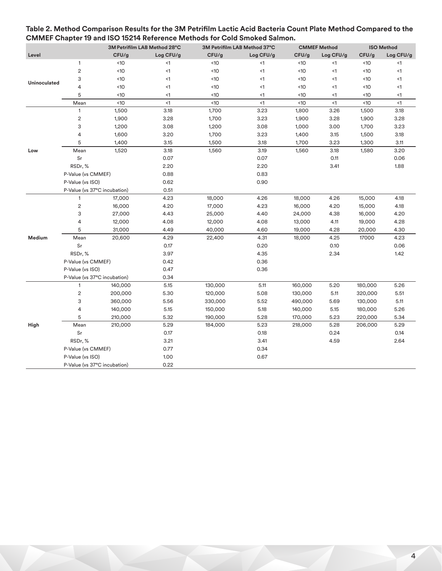|                     | 3M Petrifilm LAB Method 28°C<br>3M Petrifilm LAB Method 37°C |         |           | <b>CMMEF Method</b> |           | <b>ISO Method</b> |           |         |           |
|---------------------|--------------------------------------------------------------|---------|-----------|---------------------|-----------|-------------------|-----------|---------|-----------|
| Level               |                                                              | CFU/g   | Log CFU/g | CFU/g               | Log CFU/g | CFU/g             | Log CFU/g | CFU/g   | Log CFU/g |
|                     | $\mathbf{1}$                                                 | <10     | $\leq$ 1  | <10                 | $\leq$ 1  | <10               | $<$ 1     | <10     | $<$ 1     |
|                     | $\overline{c}$                                               | <10     | $\leq$ 1  | <10                 | $\leq$ 1  | <10               | $\leq$ 1  | <10     | $\leq$ 1  |
| <b>Uninoculated</b> | 3                                                            | <10     | $\leq$ 1  | <10                 | $\leq$ 1  | <10               | $<$ 1     | <10     | $\leq$ 1  |
|                     | 4                                                            | <10     | $\leq$ 1  | <10                 | $\leq$ 1  | <10               | $<$ 1     | <10     | $\leq$ 1  |
|                     | 5                                                            | <10     | $\leq$ 1  | <10                 | $\leq$ 1  | <10               | $<$ 1     | <10     | <1        |
|                     | Mean                                                         | <10     | $\leq$ 1  | <10                 | $\leq$ 1  | <10               | $\leq$ 1  | <10     | $\leq$ 1  |
|                     | $\mathbf{1}$                                                 | 1,500   | 3.18      | 1,700               | 3.23      | 1,800             | 3.26      | 1,500   | 3.18      |
|                     | $\sqrt{2}$                                                   | 1,900   | 3.28      | 1,700               | 3.23      | 1,900             | 3.28      | 1,900   | 3.28      |
|                     | 3                                                            | 1,200   | 3.08      | 1,200               | 3.08      | 1,000             | 3.00      | 1,700   | 3.23      |
|                     | 4                                                            | 1,600   | 3.20      | 1,700               | 3.23      | 1,400             | 3.15      | 1,500   | 3.18      |
|                     | 5                                                            | 1,400   | 3.15      | 1,500               | 3.18      | 1,700             | 3.23      | 1,300   | 3.11      |
| Low                 | Mean                                                         | 1,520   | 3.18      | 1,560               | 3.19      | 1,560             | 3.18      | 1,580   | 3.20      |
|                     | Sr                                                           |         | 0.07      |                     | 0.07      |                   | 0.11      |         | 0.06      |
|                     | RSDr, %                                                      |         | 2.20      |                     | 2.20      |                   | 3.41      |         | 1.88      |
|                     | P-Value (vs CMMEF)                                           |         | 0.88      |                     | 0.83      |                   |           |         |           |
|                     | P-Value (vs ISO)                                             |         | 0.62      |                     | 0.90      |                   |           |         |           |
|                     | P-Value (vs 37°C incubation)                                 |         | 0.51      |                     |           |                   |           |         |           |
|                     | $\mathbf{1}$                                                 | 17,000  | 4.23      | 18,000              | 4.26      | 18,000            | 4.26      | 15,000  | 4.18      |
|                     | $\overline{c}$                                               | 16,000  | 4.20      | 17,000              | 4.23      | 16,000            | 4.20      | 15,000  | 4.18      |
|                     | 3                                                            | 27,000  | 4.43      | 25,000              | 4.40      | 24,000            | 4.38      | 16,000  | 4.20      |
|                     | 4                                                            | 12,000  | 4.08      | 12,000              | 4.08      | 13,000            | 4.11      | 19,000  | 4.28      |
|                     | 5                                                            | 31,000  | 4.49      | 40,000              | 4.60      | 19,000            | 4.28      | 20,000  | 4.30      |
| Medium              | Mean                                                         | 20,600  | 4.29      | 22,400              | 4.31      | 18,000            | 4.25      | 17000   | 4.23      |
|                     | Sr                                                           |         | 0.17      |                     | 0.20      |                   | 0.10      |         | 0.06      |
|                     | RSDr, %                                                      |         | 3.97      |                     | 4.35      |                   | 2.34      |         | 1.42      |
|                     | P-Value (vs CMMEF)                                           |         | 0.42      |                     | 0.36      |                   |           |         |           |
|                     | P-Value (vs ISO)                                             |         | 0.47      |                     | 0.36      |                   |           |         |           |
|                     | P-Value (vs 37°C incubation)                                 |         | 0.34      |                     |           |                   |           |         |           |
|                     | $\mathbf{1}$                                                 | 140,000 | 5.15      | 130,000             | 5.11      | 160,000           | 5.20      | 180,000 | 5.26      |
|                     | $\overline{c}$                                               | 200,000 | 5.30      | 120,000             | 5.08      | 130,000           | 5.11      | 320,000 | 5.51      |
|                     | 3                                                            | 360,000 | 5.56      | 330,000             | 5.52      | 490,000           | 5.69      | 130,000 | 5.11      |
|                     | 4                                                            | 140,000 | 5.15      | 150,000             | 5.18      | 140,000           | 5.15      | 180,000 | 5.26      |
|                     | 5                                                            | 210,000 | 5.32      | 190,000             | 5.28      | 170,000           | 5.23      | 220,000 | 5.34      |
| High                | Mean                                                         | 210,000 | 5.29      | 184,000             | 5.23      | 218,000           | 5.28      | 206,000 | 5.29      |
|                     | Sr                                                           |         | 0.17      |                     | 0.18      |                   | 0.24      |         | 0.14      |
|                     | RSDr, %                                                      |         | 3.21      |                     | 3.41      |                   | 4.59      |         | 2.64      |
|                     | P-Value (vs CMMEF)                                           |         | 0.77      |                     | 0.34      |                   |           |         |           |
|                     | P-Value (vs ISO)                                             |         | 1.00      |                     | 0.67      |                   |           |         |           |
|                     | P-Value (vs 37°C incubation)                                 |         | 0.22      |                     |           |                   |           |         |           |

# **Table 2. Method Comparison Results for the 3M Petrifilm Lactic Acid Bacteria Count Plate Method Compared to the CMMEF Chapter 19 and ISO 15214 Reference Methods for Cold Smoked Salmon.**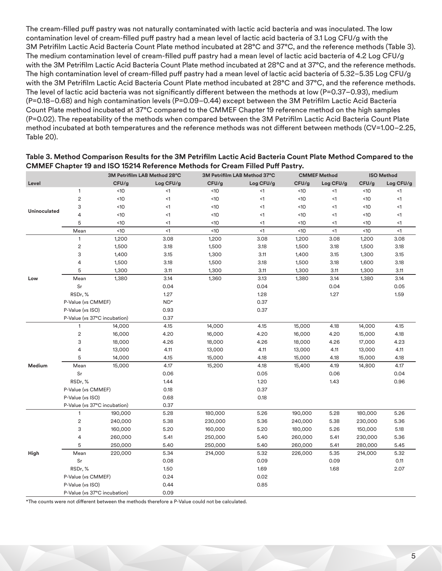The cream-filled puff pastry was not naturally contaminated with lactic acid bacteria and was inoculated. The low contamination level of cream-filled puff pastry had a mean level of lactic acid bacteria of 3.1 Log CFU/g with the 3M Petrifilm Lactic Acid Bacteria Count Plate method incubated at 28°C and 37°C, and the reference methods (Table 3). The medium contamination level of cream-filled puff pastry had a mean level of lactic acid bacteria of 4.2 Log CFU/g with the 3M Petrifilm Lactic Acid Bacteria Count Plate method incubated at 28°C and at 37°C, and the reference methods. The high contamination level of cream-filled puff pastry had a mean level of lactic acid bacteria of 5.32–5.35 Log CFU/g with the 3M Petrifilm Lactic Acid Bacteria Count Plate method incubated at 28°C and 37°C, and the reference methods. The level of lactic acid bacteria was not significantly different between the methods at low (P=0.37–0.93), medium (P=0.18–0.68) and high contamination levels (P=0.09–0.44) except between the 3M Petrifilm Lactic Acid Bacteria Count Plate method incubated at 37°C compared to the CMMEF Chapter 19 reference method on the high samples (P=0.02). The repeatability of the methods when compared between the 3M Petrifilm Lactic Acid Bacteria Count Plate method incubated at both temperatures and the reference methods was not different between methods (CV=1.00–2.25, Table 20).

|              |                              |         | 3M Petrifilm LAB Method 28°C |         | 3M Petrifilm LAB Method 37°C | <b>CMMEF Method</b> |           |         | <b>ISO Method</b> |  |
|--------------|------------------------------|---------|------------------------------|---------|------------------------------|---------------------|-----------|---------|-------------------|--|
| Level        |                              | CFU/g   | Log CFU/g                    | CFU/g   | Log CFU/g                    | CFU/g               | Log CFU/g | CFU/g   | Log CFU/g         |  |
|              | $\mathbf{1}$                 | <10     | $\leq$ 1                     | <10     | $\leq$ 1                     | <10                 | $<$ 1     | <10     | $\leq$ 1          |  |
|              | $\overline{c}$               | <10     | $\leq$ 1                     | <10     | $\leq$ 1                     | <10                 | $<$ 1     | <10     | $\leq$ 1          |  |
| Uninoculated | 3                            | <10     | $\leq$ 1                     | <10     | <1                           | <10                 | $<$ 1     | <10     | $\leq$ 1          |  |
|              | 4                            | <10     | $\leq$ 1                     | <10     | <1                           | <10                 | $<$ 1     | <10     | $\leq$ 1          |  |
|              | 5                            | <10     | <1                           | <10     | $<$ 1                        | <10                 | <1        | <10     | $\leq$ 1          |  |
|              | Mean                         | <10     | $\leq$ 1                     | <10     | $\leq$ 1                     | <10                 | $\leq$ 1  | <10     | $\leq$ 1          |  |
|              | $\mathbf{1}$                 | 1,200   | 3.08                         | 1,200   | 3.08                         | 1,200               | 3.08      | 1,200   | 3.08              |  |
|              | $\sqrt{2}$                   | 1,500   | 3.18                         | 1,500   | 3.18                         | 1,500               | 3.18      | 1,500   | 3.18              |  |
|              | 3                            | 1,400   | 3.15                         | 1,300   | 3.11                         | 1,400               | 3.15      | 1,300   | 3.15              |  |
|              | 4                            | 1,500   | 3.18                         | 1,500   | 3.18                         | 1,500               | 3.18      | 1,600   | 3.18              |  |
|              | 5                            | 1,300   | 3.11                         | 1,300   | 3.11                         | 1,300               | 3.11      | 1,300   | 3.11              |  |
| Low          | Mean                         | 1,380   | 3.14                         | 1,360   | 3.13                         | 1,380               | 3.14      | 1,380   | 3.14              |  |
|              | Sr                           |         | 0.04                         |         | 0.04                         |                     | 0.04      |         | 0.05              |  |
|              | RSDr, %                      |         | 1.27                         |         | 1.28                         |                     | 1.27      |         | 1.59              |  |
|              | P-Value (vs CMMEF)           |         | $ND*$                        |         | 0.37                         |                     |           |         |                   |  |
|              | P-Value (vs ISO)             |         | 0.93                         |         | 0.37                         |                     |           |         |                   |  |
|              | P-Value (vs 37°C incubation) |         | 0.37                         |         |                              |                     |           |         |                   |  |
|              | $\mathbf{1}$                 | 14,000  | 4.15                         | 14,000  | 4.15                         | 15,000              | 4.18      | 14,000  | 4.15              |  |
|              | $\sqrt{2}$                   | 16,000  | 4.20                         | 16,000  | 4.20                         | 16,000              | 4.20      | 15,000  | 4.18              |  |
|              | 3                            | 18,000  | 4.26                         | 18,000  | 4.26                         | 18,000              | 4.26      | 17,000  | 4.23              |  |
|              | 4                            | 13,000  | 4.11                         | 13,000  | 4.11                         | 13,000              | 4.11      | 13,000  | 4.11              |  |
|              | 5                            | 14,000  | 4.15                         | 15,000  | 4.18                         | 15,000              | 4.18      | 15,000  | 4.18              |  |
| Medium       | Mean                         | 15,000  | 4.17                         | 15,200  | 4.18                         | 15,400              | 4.19      | 14,800  | 4.17              |  |
|              | Sr                           |         | 0.06                         |         | 0.05                         |                     | 0.06      |         | 0.04              |  |
|              | RSDr, %                      |         | 1.44                         |         | 1.20                         |                     | 1.43      |         | 0.96              |  |
|              | P-Value (vs CMMEF)           |         | 0.18                         |         | 0.37                         |                     |           |         |                   |  |
|              | P-Value (vs ISO)             |         | 0.68                         |         | 0.18                         |                     |           |         |                   |  |
|              | P-Value (vs 37°C incubation) |         | 0.37                         |         |                              |                     |           |         |                   |  |
|              | $\mathbf{1}$                 | 190,000 | 5.28                         | 180,000 | 5.26                         | 190,000             | 5.28      | 180,000 | 5.26              |  |
|              | $\sqrt{2}$                   | 240,000 | 5.38                         | 230,000 | 5.36                         | 240,000             | 5.38      | 230,000 | 5.36              |  |
|              | 3                            | 160,000 | 5.20                         | 160,000 | 5.20                         | 180,000             | 5.26      | 150,000 | 5.18              |  |
|              | 4                            | 260,000 | 5.41                         | 250,000 | 5.40                         | 260,000             | 5.41      | 230,000 | 5.36              |  |
|              | 5                            | 250,000 | 5.40                         | 250,000 | 5.40                         | 260,000             | 5.41      | 280,000 | 5.45              |  |
| High         | Mean                         | 220,000 | 5.34                         | 214,000 | 5.32                         | 226,000             | 5.35      | 214,000 | 5.32              |  |
|              | Sr                           |         | 0.08                         |         | 0.09                         |                     | 0.09      |         | 0.11              |  |
|              | RSDr, %                      |         | 1.50                         |         | 1.69                         |                     | 1.68      |         | 2.07              |  |
|              | P-Value (vs CMMEF)           |         | 0.24                         |         | 0.02                         |                     |           |         |                   |  |
|              | P-Value (vs ISO)             |         | 0.44                         |         | 0.85                         |                     |           |         |                   |  |
|              | P-Value (vs 37°C incubation) |         | 0.09                         |         |                              |                     |           |         |                   |  |

#### **Table 3. Method Comparison Results for the 3M Petrifilm Lactic Acid Bacteria Count Plate Method Compared to the CMMEF Chapter 19 and ISO 15214 Reference Methods for Cream Filled Puff Pastry.**

\*The counts were not different between the methods therefore a P-Value could not be calculated.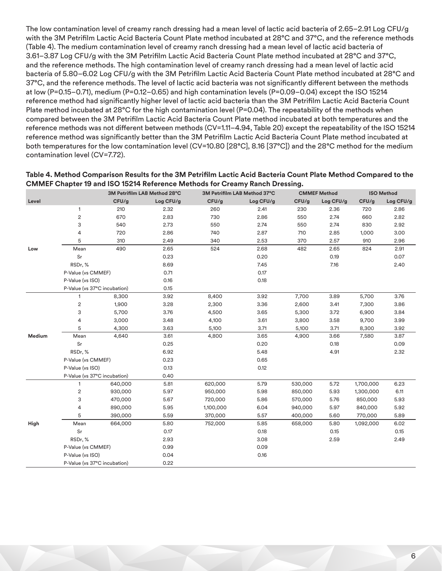The low contamination level of creamy ranch dressing had a mean level of lactic acid bacteria of 2.65–2.91 Log CFU/g with the 3M Petrifilm Lactic Acid Bacteria Count Plate method incubated at 28°C and 37°C, and the reference methods (Table 4). The medium contamination level of creamy ranch dressing had a mean level of lactic acid bacteria of 3.61–3.87 Log CFU/g with the 3M Petrifilm Lactic Acid Bacteria Count Plate method incubated at 28°C and 37°C, and the reference methods. The high contamination level of creamy ranch dressing had a mean level of lactic acid bacteria of 5.80–6.02 Log CFU/g with the 3M Petrifilm Lactic Acid Bacteria Count Plate method incubated at 28°C and 37°C, and the reference methods. The level of lactic acid bacteria was not significantly different between the methods at low (P=0.15–0.71), medium (P=0.12–0.65) and high contamination levels (P=0.09–0.04) except the ISO 15214 reference method had significantly higher level of lactic acid bacteria than the 3M Petrifilm Lactic Acid Bacteria Count Plate method incubated at 28°C for the high contamination level (P=0.04). The repeatability of the methods when compared between the 3M Petrifilm Lactic Acid Bacteria Count Plate method incubated at both temperatures and the reference methods was not different between methods (CV=1.11–4.94, Table 20) except the repeatability of the ISO 15214 reference method was significantly better than the 3M Petrifilm Lactic Acid Bacteria Count Plate method incubated at both temperatures for the low contamination level (CV=10.80 [28°C], 8.16 [37°C]) and the 28°C method for the medium contamination level (CV=7.72).

| Table 4. Method Comparison Results for the 3M Petrifilm Lactic Acid Bacteria Count Plate Method Compared to the |
|-----------------------------------------------------------------------------------------------------------------|
| CMMEF Chapter 19 and ISO 15214 Reference Methods for Creamy Ranch Dressing.                                     |

|        |                              |         | 3M Petrifilm LAB Method 28°C |           | 3M Petrifilm LAB Method 37°C |         | <b>CMMEF Method</b> |           | <b>ISO Method</b> |  |
|--------|------------------------------|---------|------------------------------|-----------|------------------------------|---------|---------------------|-----------|-------------------|--|
| Level  |                              | CFU/g   | Log CFU/g                    | CFU/g     | Log CFU/g                    | CFU/g   | Log CFU/g           | CFU/g     | Log CFU/g         |  |
|        | $\mathbf{1}$                 | 210     | 2.32                         | 260       | 2.41                         | 230     | 2.36                | 720       | 2.86              |  |
|        | $\overline{c}$               | 670     | 2.83                         | 730       | 2.86                         | 550     | 2.74                | 660       | 2.82              |  |
|        | 3                            | 540     | 2.73                         | 550       | 2.74                         | 550     | 2.74                | 830       | 2.92              |  |
|        | 4                            | 720     | 2.86                         | 740       | 2.87                         | 710     | 2.85                | 1,000     | 3.00              |  |
|        | 5                            | 310     | 2.49                         | 340       | 2.53                         | 370     | 2.57                | 910       | 2.96              |  |
| Low    | Mean                         | 490     | 2.65                         | 524       | 2.68                         | 482     | 2.65                | 824       | 2.91              |  |
|        | Sr                           |         | 0.23                         |           | 0.20                         |         | 0.19                |           | 0.07              |  |
|        | RSDr, %                      |         | 8.69                         |           | 7.45                         |         | 7.16                |           | 2.40              |  |
|        | P-Value (vs CMMEF)           |         | 0.71                         |           | 0.17                         |         |                     |           |                   |  |
|        | P-Value (vs ISO)             |         | 0.16                         |           | 0.18                         |         |                     |           |                   |  |
|        | P-Value (vs 37°C incubation) |         | 0.15                         |           |                              |         |                     |           |                   |  |
|        | 1                            | 8,300   | 3.92                         | 8,400     | 3.92                         | 7,700   | 3.89                | 5,700     | 3.76              |  |
|        | $\sqrt{2}$                   | 1,900   | 3.28                         | 2,300     | 3.36                         | 2,600   | 3.41                | 7,300     | 3.86              |  |
|        | 3                            | 5,700   | 3.76                         | 4,500     | 3.65                         | 5,300   | 3.72                | 6,900     | 3.84              |  |
|        | 4                            | 3,000   | 3.48                         | 4,100     | 3.61                         | 3,800   | 3.58                | 9,700     | 3.99              |  |
|        | 5                            | 4,300   | 3.63                         | 5,100     | 3.71                         | 5,100   | 3.71                | 8,300     | 3.92              |  |
| Medium | Mean                         | 4,640   | 3.61                         | 4,800     | 3.65                         | 4,900   | 3.66                | 7,580     | 3.87              |  |
|        | Sr                           |         | 0.25                         |           | 0.20                         |         | 0.18                |           | 0.09              |  |
|        | RSDr, %                      |         | 6.92                         |           | 5.48                         |         | 4.91                |           | 2.32              |  |
|        | P-Value (vs CMMEF)           |         | 0.23                         |           | 0.65                         |         |                     |           |                   |  |
|        | P-Value (vs ISO)             |         | 0.13                         |           | 0.12                         |         |                     |           |                   |  |
|        | P-Value (vs 37°C incubation) |         | 0.40                         |           |                              |         |                     |           |                   |  |
|        | $\mathbf{1}$                 | 640,000 | 5.81                         | 620,000   | 5.79                         | 530,000 | 5.72                | 1,700,000 | 6.23              |  |
|        | $\sqrt{2}$                   | 930,000 | 5.97                         | 950,000   | 5.98                         | 850,000 | 5.93                | 1,300,000 | 6.11              |  |
|        | 3                            | 470,000 | 5.67                         | 720,000   | 5.86                         | 570,000 | 5.76                | 850,000   | 5.93              |  |
|        | 4                            | 890,000 | 5.95                         | 1,100,000 | 6.04                         | 940,000 | 5.97                | 840,000   | 5.92              |  |
|        | 5                            | 390,000 | 5.59                         | 370,000   | 5.57                         | 400,000 | 5.60                | 770,000   | 5.89              |  |
| High   | Mean                         | 664,000 | 5.80                         | 752,000   | 5.85                         | 658,000 | 5.80                | 1,092,000 | 6.02              |  |
|        | Sr                           |         | 0.17                         |           | 0.18                         |         | 0.15                |           | 0.15              |  |
|        | RSDr, %                      |         | 2.93                         |           | 3.08                         |         | 2.59                |           | 2.49              |  |
|        | P-Value (vs CMMEF)           |         | 0.99                         |           | 0.09                         |         |                     |           |                   |  |
|        | P-Value (vs ISO)             |         | 0.04                         |           | 0.16                         |         |                     |           |                   |  |
|        | P-Value (vs 37°C incubation) |         | 0.22                         |           |                              |         |                     |           |                   |  |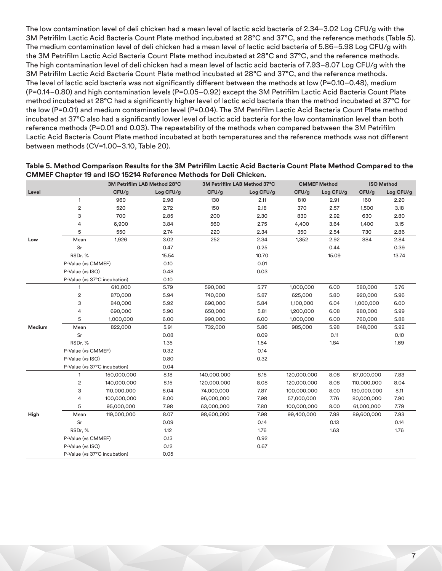The low contamination level of deli chicken had a mean level of lactic acid bacteria of 2.34–3.02 Log CFU/g with the 3M Petrifilm Lactic Acid Bacteria Count Plate method incubated at 28°C and 37°C, and the reference methods (Table 5). The medium contamination level of deli chicken had a mean level of lactic acid bacteria of 5.86–5.98 Log CFU/g with the 3M Petrifilm Lactic Acid Bacteria Count Plate method incubated at 28°C and 37°C, and the reference methods. The high contamination level of deli chicken had a mean level of lactic acid bacteria of 7.93–8.07 Log CFU/g with the 3M Petrifilm Lactic Acid Bacteria Count Plate method incubated at 28°C and 37°C, and the reference methods. The level of lactic acid bacteria was not significantly different between the methods at low (P=0.10–0.48), medium (P=0.14–0.80) and high contamination levels (P=0.05–0.92) except the 3M Petrifilm Lactic Acid Bacteria Count Plate method incubated at 28°C had a significantly higher level of lactic acid bacteria than the method incubated at 37°C for the low (P=0.01) and medium contamination level (P=0.04). The 3M Petrifilm Lactic Acid Bacteria Count Plate method incubated at 37°C also had a significantly lower level of lactic acid bacteria for the low contamination level than both reference methods (P=0.01 and 0.03). The repeatability of the methods when compared between the 3M Petrifilm Lactic Acid Bacteria Count Plate method incubated at both temperatures and the reference methods was not different between methods (CV=1.00–3.10, Table 20).

|        |                              | 3M Petrifilm LAB Method 28°C |           | 3M Petrifilm LAB Method 37°C |           | <b>CMMEF Method</b> |           | <b>ISO Method</b> |           |
|--------|------------------------------|------------------------------|-----------|------------------------------|-----------|---------------------|-----------|-------------------|-----------|
| Level  |                              | CFU/g                        | Log CFU/g | CFU/g                        | Log CFU/g | CFU/g               | Log CFU/g | CFU/g             | Log CFU/g |
|        | 1                            | 960                          | 2.98      | 130                          | 2.11      | 810                 | 2.91      | 160               | 2.20      |
|        | $\overline{c}$               | 520                          | 2.72      | 150                          | 2.18      | 370                 | 2.57      | 1,500             | 3.18      |
|        | 3                            | 700                          | 2.85      | 200                          | 2.30      | 830                 | 2.92      | 630               | 2.80      |
|        | 4                            | 6,900                        | 3.84      | 560                          | 2.75      | 4,400               | 3.64      | 1,400             | 3.15      |
|        | 5                            | 550                          | 2.74      | 220                          | 2.34      | 350                 | 2.54      | 730               | 2.86      |
| Low    | Mean                         | 1,926                        | 3.02      | 252                          | 2.34      | 1,352               | 2.92      | 884               | 2.84      |
|        | Sr                           |                              | 0.47      |                              | 0.25      |                     | 0.44      |                   | 0.39      |
|        | RSDr, %                      |                              | 15.54     |                              | 10.70     |                     | 15.09     |                   | 13.74     |
|        | P-Value (vs CMMEF)           |                              | 0.10      |                              | 0.01      |                     |           |                   |           |
|        | P-Value (vs ISO)             |                              | 0.48      |                              | 0.03      |                     |           |                   |           |
|        | P-Value (vs 37°C incubation) |                              | 0.10      |                              |           |                     |           |                   |           |
|        | $\mathbf{1}$                 | 610,000                      | 5.79      | 590,000                      | 5.77      | 1,000,000           | 6.00      | 580,000           | 5.76      |
|        | 2                            | 870,000                      | 5.94      | 740,000                      | 5.87      | 625,000             | 5.80      | 920,000           | 5.96      |
|        | 3                            | 840,000                      | 5.92      | 690,000                      | 5.84      | 1,100,000           | 6.04      | 1,000,000         | 6.00      |
|        | 4                            | 690,000                      | 5.90      | 650,000                      | 5.81      | 1,200,000           | 6.08      | 980,000           | 5.99      |
|        | 5                            | 1,000,000                    | 6.00      | 990,000                      | 6.00      | 1,000,000           | 6.00      | 760,000           | 5.88      |
| Medium | Mean                         | 822,000                      | 5.91      | 732,000                      | 5.86      | 985,000             | 5.98      | 848,000           | 5.92      |
|        | Sr                           |                              | 0.08      |                              | 0.09      |                     | 0.11      |                   | 0.10      |
|        | RSDr,%                       |                              | 1.35      |                              | 1.54      |                     | 1.84      |                   | 1.69      |
|        | P-Value (vs CMMEF)           |                              | 0.32      |                              | 0.14      |                     |           |                   |           |
|        | P-Value (vs ISO)             |                              | 0.80      |                              | 0.32      |                     |           |                   |           |
|        | P-Value (vs 37°C incubation) |                              | 0.04      |                              |           |                     |           |                   |           |
|        | 1                            | 150,000,000                  | 8.18      | 140,000,000                  | 8.15      | 120,000,000         | 8.08      | 67,000,000        | 7.83      |
|        | 2                            | 140,000,000                  | 8.15      | 120,000,000                  | 8.08      | 120,000,000         | 8.08      | 110,000,000       | 8.04      |
|        | 3                            | 110,000,000                  | 8.04      | 74.000,000                   | 7.87      | 100,000,000         | 8.00      | 130,000,000       | 8.11      |
|        | 4                            | 100,000,000                  | 8.00      | 96,000,000                   | 7.98      | 57,000,000          | 7.76      | 80,000,000        | 7.90      |
|        | 5                            | 95,000,000                   | 7.98      | 63,000,000                   | 7.80      | 100,000,000         | 8.00      | 61,000,000        | 7.79      |
| High   | Mean                         | 119,000,000                  | 8.07      | 98,600,000                   | 7.98      | 99,400,000          | 7.98      | 89,600,000        | 7.93      |
|        | Sr                           |                              | 0.09      |                              | 0.14      |                     | 0.13      |                   | 0.14      |
|        | RSDr, %                      |                              | 1.12      |                              | 1.76      |                     | 1.63      |                   | 1.76      |
|        | P-Value (vs CMMEF)           |                              | 0.13      |                              | 0.92      |                     |           |                   |           |
|        | P-Value (vs ISO)             |                              | 0.12      |                              | 0.67      |                     |           |                   |           |
|        | P-Value (vs 37°C incubation) |                              | 0.05      |                              |           |                     |           |                   |           |

#### **Table 5. Method Comparison Results for the 3M Petrifilm Lactic Acid Bacteria Count Plate Method Compared to the CMMEF Chapter 19 and ISO 15214 Reference Methods for Deli Chicken.**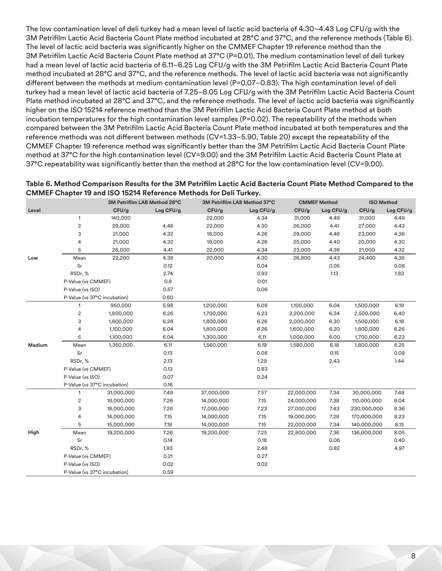The low contamination level of deli turkey had a mean level of lactic acid bacteria of 4.30–4.43 Log CFU/g with the 3M Petrifilm Lactic Acid Bacteria Count Plate method incubated at 28°C and 37°C, and the reference methods (Table 6). The level of lactic acid bacteria was significantly higher on the CMMEF Chapter 19 reference method than the 3M Petrifilm Lactic Acid Bacteria Count Plate method at 37°C (P=0.01). The medium contamination level of deli turkey had a mean level of lactic acid bacteria of 6.11–6.25 Log CFU/g with the 3M Petrifilm Lactic Acid Bacteria Count Plate method incubated at 28°C and 37°C, and the reference methods. The level of lactic acid bacteria was not significantly different between the methods at medium contamination level (P=0.07–0.83). The high contamination level of deli turkey had a mean level of lactic acid bacteria of 7.25–8.05 Log CFU/g with the 3M Petrifilm Lactic Acid Bacteria Count Plate method incubated at 28°C and 37°C, and the reference methods. The level of lactic acid bacteria was significantly higher on the ISO 15214 reference method than the 3M Petrifilm Lactic Acid Bacteria Count Plate method at both incubation temperatures for the high contamination level samples (P=0.02). The repeatability of the methods when compared between the 3M Petrifilm Lactic Acid Bacteria Count Plate method incubated at both temperatures and the reference methods was not different between methods (CV=1.33–5.90, Table 20) except the repeatability of the CMMEF Chapter 19 reference method was significantly better than the 3M Petrifilm Lactic Acid Bacteria Count Plate method at 37°C for the high contamination level (CV=9.00) and the 3M Petrifilm Lactic Acid Bacteria Count Plate at 37°C repeatability was significantly better than the method at 28°C for the low contamination level (CV=9.00).

| Table 6. Method Comparison Results for the 3M Petrifilm Lactic Acid Bacteria Count Plate Method Compared to the |                              |                              |                     |                   |
|-----------------------------------------------------------------------------------------------------------------|------------------------------|------------------------------|---------------------|-------------------|
| <b>CMMEF Chapter 19 and ISO 15214 Reference Methods for Deli Turkey.</b>                                        |                              |                              |                     |                   |
|                                                                                                                 | 3M Petrifilm LAB Method 28°C | 3M Petrifilm LAB Method 37°C | <b>CMMEF Method</b> | <b>ISO Method</b> |

|        |                              |            |           |            |           |            | $\sim$ $\sim$ $\sim$ |             |           |
|--------|------------------------------|------------|-----------|------------|-----------|------------|----------------------|-------------|-----------|
| Level  |                              | CFU/g      | Log CFU/g | CFU/g      | Log CFU/g | CFU/g      | Log CFU/g            | CFU/g       | Log CFU/g |
|        | $\mathbf{1}$                 | 140,000    |           | 22,000     | 4.34      | 31,000     | 4.49                 | 31,000      | 4.49      |
|        | $\overline{c}$               | 29,000     | 4.46      | 22,000     | 4.30      | 26,000     | 4.41                 | 27,000      | 4.43      |
|        | 3                            | 21,000     | 4.32      | 18,000     | 4.26      | 29,000     | 4.46                 | 23,000      | 4.36      |
|        | 4                            | 21,000     | 4.32      | 18,000     | 4.26      | 25,000     | 4.40                 | 20,000      | 4.30      |
|        | 5                            | 26,000     | 4.41      | 22,000     | 4.34      | 23,000     | 4.36                 | 21,000      | 4.32      |
| Low    | Mean                         | 22,200     | 4.38      | 20,000     | 4.30      | 26,800     | 4.43                 | 24,400      | 4.38      |
|        | Sr                           |            | 0.12      |            | 0.04      |            | 0.05                 |             | 0.08      |
|        | RSDr, %                      |            | 2.74      |            | 0.93      |            | 1.13                 |             | 1.83      |
|        | P-Value (vs CMMEF)           |            | 0.8       |            | 0.01      |            |                      |             |           |
|        | P-Value (vs ISO)             |            | 0.57      |            | 0.06      |            |                      |             |           |
|        | P-Value (vs 37°C incubation) |            | 0.60      |            |           |            |                      |             |           |
|        | $\mathbf{1}$                 | 950,000    | 5.98      | 1,200,000  | 6.08      | 1,100,000  | 6.04                 | 1,500,000   | 6.18      |
|        | $\overline{\mathbf{c}}$      | 1,800,000  | 6.26      | 1,700,000  | 6.23      | 2,200,000  | 6.34                 | 2,500,000   | 6.40      |
|        | 3                            | 1,800,000  | 6.26      | 1,800,000  | 6.26      | 2,000,000  | 6.30                 | 1,500,000   | 6.18      |
|        | 4                            | 1,100,000  | 6.04      | 1,800,000  | 6.26      | 1,600,000  | 6.20                 | 1,800,000   | 6.26      |
|        | 5                            | 1,100,000  | 6.04      | 1,300,000  | 6.11      | 1,000,000  | 6.00                 | 1,700,000   | 6.23      |
| Medium | Mean                         | 1,350,000  | 6.11      | 1,560,000  | 6.19      | 1,580,000  | 6.18                 | 1,800,000   | 6.25      |
|        | Sr                           |            | 0.13      |            | 0.08      |            | 0.15                 |             | 0.09      |
|        | RSDr, %                      |            | 2.13      |            | 1.29      |            | 2.43                 |             | 1.44      |
|        | P-Value (vs CMMEF)           |            | 0.13      |            | 0.83      |            |                      |             |           |
|        | P-Value (vs ISO)             |            | 0.07      |            | 0.24      |            |                      |             |           |
|        | P-Value (vs 37°C incubation) |            | 0.16      |            |           |            |                      |             |           |
|        | $\mathbf{1}$                 | 31,000,000 | 7.49      | 37,000,000 | 7.57      | 22,000,000 | 7.34                 | 30,000,000  | 7.48      |
|        | 2                            | 18,000,000 | 7.26      | 14,000,000 | 7.15      | 24,000,000 | 7.38                 | 110,000,000 | 8.04      |
|        | 3                            | 18,000,000 | 7.26      | 17,000,000 | 7.23      | 27,000,000 | 7.43                 | 230,000,000 | 8.36      |
|        | 4                            | 14,000,000 | 7.15      | 14,000,000 | 7.15      | 19,000,000 | 7.28                 | 170,000,000 | 8.23      |
|        | 5                            | 15,000,000 | 7.18      | 14,000,000 | 7.15      | 22,000,000 | 7.34                 | 140,000,000 | 8.15      |
| High   | Mean                         | 19,200,000 | 7.26      | 19,200,000 | 7.25      | 22,800,000 | 7.36                 | 136,000,000 | 8.05      |
|        | Sr                           |            | 0.14      |            | 0.18      |            | 0.06                 |             | 0.40      |
|        | RSDr, %                      |            | 1.93      |            | 2.48      |            | 0.82                 |             | 4.97      |
|        | P-Value (vs CMMEF)           |            | 0.21      |            | 0.27      |            |                      |             |           |
|        | P-Value (vs ISO)             |            | 0.02      |            | 0.02      |            |                      |             |           |
|        | P-Value (vs 37°C incubation) |            | 0.59      |            |           |            |                      |             |           |
|        |                              |            |           |            |           |            |                      |             |           |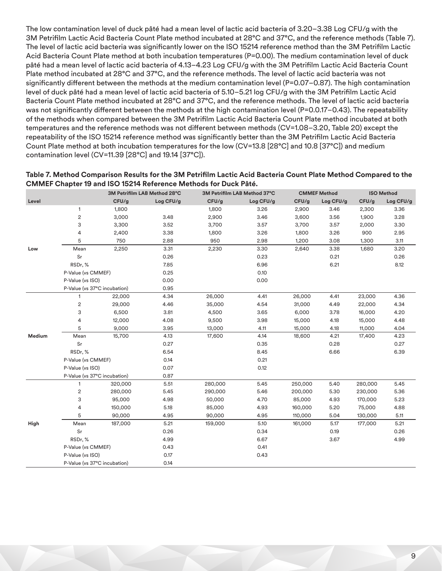The low contamination level of duck pâté had a mean level of lactic acid bacteria of 3.20–3.38 Log CFU/g with the 3M Petrifilm Lactic Acid Bacteria Count Plate method incubated at 28°C and 37°C, and the reference methods (Table 7). The level of lactic acid bacteria was significantly lower on the ISO 15214 reference method than the 3M Petrifilm Lactic Acid Bacteria Count Plate method at both incubation temperatures (P=0.00). The medium contamination level of duck pâté had a mean level of lactic acid bacteria of 4.13–4.23 Log CFU/g with the 3M Petrifilm Lactic Acid Bacteria Count Plate method incubated at 28°C and 37°C, and the reference methods. The level of lactic acid bacteria was not significantly different between the methods at the medium contamination level (P=0.07-0.87). The high contamination level of duck pâté had a mean level of lactic acid bacteria of 5.10–5.21 log CFU/g with the 3M Petrifilm Lactic Acid Bacteria Count Plate method incubated at 28°C and 37°C, and the reference methods. The level of lactic acid bacteria was not significantly different between the methods at the high contamination level (P=0.0.17–0.43). The repeatability of the methods when compared between the 3M Petrifilm Lactic Acid Bacteria Count Plate method incubated at both temperatures and the reference methods was not different between methods (CV=1.08–3.20, Table 20) except the repeatability of the ISO 15214 reference method was significantly better than the 3M Petrifilm Lactic Acid Bacteria Count Plate method at both incubation temperatures for the low (CV=13.8 [28°C] and 10.8 [37°C]) and medium contamination level (CV=11.39 [28°C] and 19.14 [37°C]).

| Table 7. Method Comparison Results for the 3M Petrifilm Lactic Acid Bacteria Count Plate Method Compared to the |
|-----------------------------------------------------------------------------------------------------------------|
| <b>CMMEF Chapter 19 and ISO 15214 Reference Methods for Duck Pâté.</b>                                          |

|        |                              |         | 3M Petrifilm LAB Method 28°C |         | 3M Petrifilm LAB Method 37°C | <b>CMMEF Method</b> |           | <b>ISO Method</b> |           |
|--------|------------------------------|---------|------------------------------|---------|------------------------------|---------------------|-----------|-------------------|-----------|
| Level  |                              | CFU/g   | Log CFU/g                    | CFU/g   | Log CFU/g                    | CFU/g               | Log CFU/g | CFU/g             | Log CFU/g |
|        | $\mathbf{1}$                 | 1,800   |                              | 1,800   | 3.26                         | 2,900               | 3.46      | 2,300             | 3.36      |
|        | $\sqrt{2}$                   | 3,000   | 3.48                         | 2,900   | 3.46                         | 3,600               | 3.56      | 1,900             | 3.28      |
|        | 3                            | 3,300   | 3.52                         | 3,700   | 3.57                         | 3,700               | 3.57      | 2,000             | 3.30      |
|        | 4                            | 2,400   | 3.38                         | 1,800   | 3.26                         | 1,800               | 3.26      | 900               | 2.95      |
|        | 5                            | 750     | 2.88                         | 950     | 2.98                         | 1,200               | 3.08      | 1,300             | 3.11      |
| Low    | Mean                         | 2,250   | 3.31                         | 2,230   | 3.30                         | 2,640               | 3.38      | 1,680             | 3.20      |
|        | Sr                           |         | 0.26                         |         | 0.23                         |                     | 0.21      |                   | 0.26      |
|        | RSDr, %                      |         | 7.85                         |         | 6.96                         |                     | 6.21      |                   | 8.12      |
|        | P-Value (vs CMMEF)           |         | 0.25                         |         | 0.10                         |                     |           |                   |           |
|        | P-Value (vs ISO)             |         | 0.00                         |         | 0.00                         |                     |           |                   |           |
|        | P-Value (vs 37°C incubation) |         | 0.95                         |         |                              |                     |           |                   |           |
|        | $\mathbf{1}$                 | 22,000  | 4.34                         | 26,000  | 4.41                         | 26,000              | 4.41      | 23,000            | 4.36      |
|        | $\sqrt{2}$                   | 29,000  | 4.46                         | 35,000  | 4.54                         | 31,000              | 4.49      | 22,000            | 4.34      |
|        | 3                            | 6,500   | 3.81                         | 4,500   | 3.65                         | 6,000               | 3.78      | 16,000            | 4.20      |
|        | 4                            | 12,000  | 4.08                         | 9,500   | 3.98                         | 15,000              | 4.18      | 15,000            | 4.48      |
|        | 5                            | 9,000   | 3.95                         | 13,000  | 4.11                         | 15,000              | 4.18      | 11,000            | 4.04      |
| Medium | Mean                         | 15,700  | 4.13                         | 17,600  | 4.14                         | 18,600              | 4.21      | 17,400            | 4.23      |
|        | Sr                           |         | 0.27                         |         | 0.35                         |                     | 0.28      |                   | 0.27      |
|        | RSDr, %                      |         | 6.54                         |         | 8.45                         |                     | 6.66      |                   | 6.39      |
|        | P-Value (vs CMMEF)           |         | 0.14                         |         | 0.21                         |                     |           |                   |           |
|        | P-Value (vs ISO)             |         | 0.07                         |         | 0.12                         |                     |           |                   |           |
|        | P-Value (vs 37°C incubation) |         | 0.87                         |         |                              |                     |           |                   |           |
|        | $\mathbf{1}$                 | 320,000 | 5.51                         | 280,000 | 5.45                         | 250,000             | 5.40      | 280,000           | 5.45      |
|        | $\sqrt{2}$                   | 280,000 | 5.45                         | 290,000 | 5.46                         | 200,000             | 5.30      | 230,000           | 5.36      |
|        | 3                            | 95,000  | 4.98                         | 50,000  | 4.70                         | 85,000              | 4.93      | 170,000           | 5.23      |
|        | 4                            | 150,000 | 5.18                         | 85,000  | 4.93                         | 160,000             | 5.20      | 75,000            | 4.88      |
|        | 5                            | 90,000  | 4.95                         | 90,000  | 4.95                         | 110,000             | 5.04      | 130,000           | 5.11      |
| High   | Mean                         | 187,000 | 5.21                         | 159,000 | 5.10                         | 161,000             | 5.17      | 177,000           | 5.21      |
|        | Sr                           |         | 0.26                         |         | 0.34                         |                     | 0.19      |                   | 0.26      |
|        | RSDr, %                      |         | 4.99                         |         | 6.67                         |                     | 3.67      |                   | 4.99      |
|        | P-Value (vs CMMEF)           |         | 0.43                         |         | 0.41                         |                     |           |                   |           |
|        | P-Value (vs ISO)             |         | 0.17                         |         | 0.43                         |                     |           |                   |           |
|        | P-Value (vs 37°C incubation) |         | 0.14                         |         |                              |                     |           |                   |           |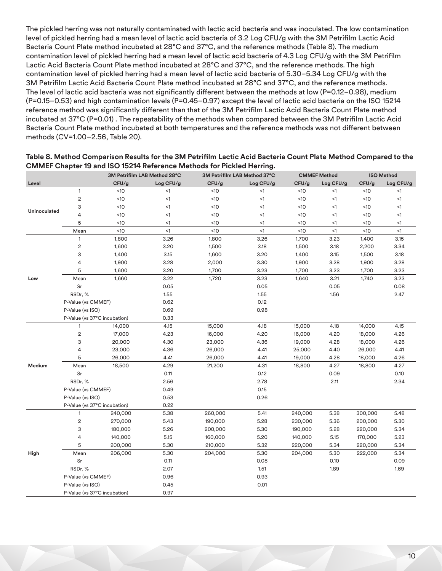The pickled herring was not naturally contaminated with lactic acid bacteria and was inoculated. The low contamination level of pickled herring had a mean level of lactic acid bacteria of 3.2 Log CFU/g with the 3M Petrifilm Lactic Acid Bacteria Count Plate method incubated at 28°C and 37°C, and the reference methods (Table 8). The medium contamination level of pickled herring had a mean level of lactic acid bacteria of 4.3 Log CFU/g with the 3M Petrifilm Lactic Acid Bacteria Count Plate method incubated at 28°C and 37°C, and the reference methods. The high contamination level of pickled herring had a mean level of lactic acid bacteria of 5.30–5.34 Log CFU/g with the 3M Petrifilm Lactic Acid Bacteria Count Plate method incubated at 28°C and 37°C, and the reference methods. The level of lactic acid bacteria was not significantly different between the methods at low (P=0.12–0.98), medium (P=0.15–0.53) and high contamination levels (P=0.45–0.97) except the level of lactic acid bacteria on the ISO 15214 reference method was significantly different than that of the 3M Petrifilm Lactic Acid Bacteria Count Plate method incubated at 37°C (P=0.01) . The repeatability of the methods when compared between the 3M Petrifilm Lactic Acid Bacteria Count Plate method incubated at both temperatures and the reference methods was not different between methods (CV=1.00–2.56, Table 20).

|              |                              |         | 3M Petrifilm LAB Method 28°C |         | 3M Petrifilm LAB Method 37°C | <b>ISO Method</b><br><b>CMMEF Method</b> |           |         |           |
|--------------|------------------------------|---------|------------------------------|---------|------------------------------|------------------------------------------|-----------|---------|-----------|
| Level        |                              | CFU/g   | Log CFU/g                    | CFU/g   | Log CFU/g                    | CFU/g                                    | Log CFU/g | CFU/g   | Log CFU/g |
|              | $\mathbf{1}$                 | <10     | $<$ 1                        | <10     | $\leq$ 1                     | <10                                      | <1        | <10     | <1        |
|              | $\sqrt{2}$                   | <10     | $\leq$ 1                     | <10     | <1                           | <10                                      | $<$ 1     | <10     | $<$ 1     |
| Uninoculated | 3                            | <10     | $\leq$ 1                     | <10     | <1                           | <10                                      | $<$ 1     | <10     | <1        |
|              | 4                            | <10     | <1                           | <10     | <1                           | <10                                      | $<$ 1     | <10     | <1        |
|              | 5                            | <10     | $<$ 1                        | <10     | $<$ 1                        | <10                                      | <1        | <10     | $\leq$ 1  |
|              | Mean                         | <10     | $\leq$ 1                     | <10     | $\leq$ 1                     | <10                                      | $\leq$ 1  | <10     | $\leq$ 1  |
|              | $\mathbf{1}$                 | 1,800   | 3.26                         | 1,800   | 3.26                         | 1,700                                    | 3.23      | 1,400   | 3.15      |
|              | $\sqrt{2}$                   | 1,600   | 3.20                         | 1,500   | 3.18                         | 1,500                                    | 3.18      | 2,200   | 3.34      |
|              | 3                            | 1,400   | 3.15                         | 1,600   | 3.20                         | 1,400                                    | 3.15      | 1,500   | 3.18      |
|              | 4                            | 1,900   | 3.28                         | 2,000   | 3.30                         | 1,900                                    | 3.28      | 1,900   | 3.28      |
|              | 5                            | 1,600   | 3.20                         | 1,700   | 3.23                         | 1,700                                    | 3.23      | 1,700   | 3.23      |
| Low          | Mean                         | 1,660   | 3.22                         | 1,720   | 3.23                         | 1,640                                    | 3.21      | 1,740   | 3.23      |
|              | $\rm Sr$                     |         | 0.05                         |         | 0.05                         |                                          | 0.05      |         | 0.08      |
|              | RSDr, %                      |         | 1.55                         |         | 1.55                         |                                          | 1.56      |         | 2.47      |
|              | P-Value (vs CMMEF)           |         | 0.62                         |         | 0.12                         |                                          |           |         |           |
|              | P-Value (vs ISO)             |         | 0.69                         |         | 0.98                         |                                          |           |         |           |
|              | P-Value (vs 37°C incubation) |         | 0.33                         |         |                              |                                          |           |         |           |
|              | 1                            | 14,000  | 4.15                         | 15,000  | 4.18                         | 15,000                                   | 4.18      | 14,000  | 4.15      |
|              | $\sqrt{2}$                   | 17,000  | 4.23                         | 16,000  | 4.20                         | 16,000                                   | 4.20      | 18,000  | 4.26      |
|              | 3                            | 20,000  | 4.30                         | 23,000  | 4.36                         | 19,000                                   | 4.28      | 18,000  | 4.26      |
|              | 4                            | 23,000  | 4.36                         | 26,000  | 4.41                         | 25,000                                   | 4.40      | 26,000  | 4.41      |
|              | 5                            | 26,000  | 4.41                         | 26,000  | 4.41                         | 19,000                                   | 4.28      | 18,000  | 4.26      |
| Medium       | Mean                         | 18,500  | 4.29                         | 21,200  | 4.31                         | 18,800                                   | 4.27      | 18,800  | 4.27      |
|              | Sr                           |         | 0.11                         |         | 0.12                         |                                          | 0.09      |         | 0.10      |
|              | RSDr,%                       |         | 2.56                         |         | 2.78                         |                                          | 2.11      |         | 2.34      |
|              | P-Value (vs CMMEF)           |         | 0.49                         |         | 0.15                         |                                          |           |         |           |
|              | P-Value (vs ISO)             |         | 0.53                         |         | 0.26                         |                                          |           |         |           |
|              | P-Value (vs 37°C incubation) |         | 0.22                         |         |                              |                                          |           |         |           |
|              | $\mathbf{1}$                 | 240,000 | 5.38                         | 260,000 | 5.41                         | 240,000                                  | 5.38      | 300,000 | 5.48      |
|              | $\sqrt{2}$                   | 270,000 | 5.43                         | 190,000 | 5.28                         | 230,000                                  | 5.36      | 200,000 | 5.30      |
|              | 3                            | 180,000 | 5.26                         | 200,000 | 5.30                         | 190,000                                  | 5.28      | 220,000 | 5.34      |
|              | 4                            | 140,000 | 5.15                         | 160,000 | 5.20                         | 140,000                                  | 5.15      | 170,000 | 5.23      |
|              | 5                            | 200,000 | 5.30                         | 210,000 | 5.32                         | 220,000                                  | 5.34      | 220,000 | 5.34      |
| High         | Mean                         | 206,000 | 5.30                         | 204,000 | 5.30                         | 204,000                                  | 5.30      | 222,000 | 5.34      |
|              | Sr                           |         | 0.11                         |         | 0.08                         |                                          | 0.10      |         | 0.09      |
|              | RSDr,%                       |         | 2.07                         |         | 1.51                         |                                          | 1.89      |         | 1.69      |
|              | P-Value (vs CMMEF)           |         | 0.96                         |         | 0.93                         |                                          |           |         |           |
|              | P-Value (vs ISO)             |         | 0.45                         |         | 0.01                         |                                          |           |         |           |
|              | P-Value (vs 37°C incubation) |         | 0.97                         |         |                              |                                          |           |         |           |

### **Table 8. Method Comparison Results for the 3M Petrifilm Lactic Acid Bacteria Count Plate Method Compared to the CMMEF Chapter 19 and ISO 15214 Reference Methods for Pickled Herring.**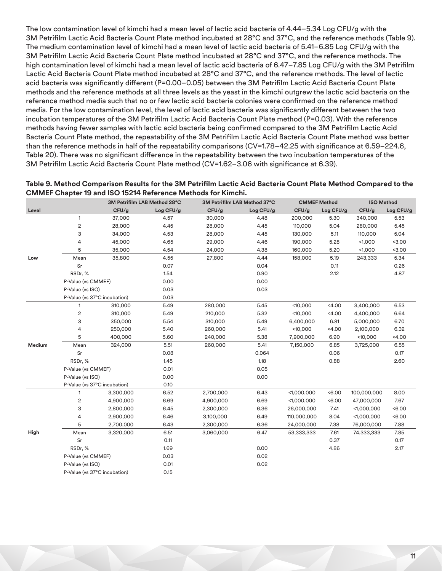The low contamination level of kimchi had a mean level of lactic acid bacteria of 4.44–5.34 Log CFU/g with the 3M Petrifilm Lactic Acid Bacteria Count Plate method incubated at 28°C and 37°C, and the reference methods (Table 9). The medium contamination level of kimchi had a mean level of lactic acid bacteria of 5.41–6.85 Log CFU/g with the 3M Petrifilm Lactic Acid Bacteria Count Plate method incubated at 28°C and 37°C, and the reference methods. The high contamination level of kimchi had a mean level of lactic acid bacteria of 6.47–7.85 Log CFU/g with the 3M Petrifilm Lactic Acid Bacteria Count Plate method incubated at 28°C and 37°C, and the reference methods. The level of lactic acid bacteria was significantly different (P=0.00–0.05) between the 3M Petrifilm Lactic Acid Bacteria Count Plate methods and the reference methods at all three levels as the yeast in the kimchi outgrew the lactic acid bacteria on the reference method media such that no or few lactic acid bacteria colonies were confirmed on the reference method media. For the low contamination level, the level of lactic acid bacteria was significantly different between the two incubation temperatures of the 3M Petrifilm Lactic Acid Bacteria Count Plate method (P=0.03). With the reference methods having fewer samples with lactic acid bacteria being confirmed compared to the 3M Petrifilm Lactic Acid Bacteria Count Plate method, the repeatability of the 3M Petrifilm Lactic Acid Bacteria Count Plate method was better than the reference methods in half of the repeatability comparisons (CV=1.78–42.25 with significance at 6.59–224.6, Table 20). There was no significant difference in the repeatability between the two incubation temperatures of the 3M Petrifilm Lactic Acid Bacteria Count Plate method (CV=1.62–3.06 with significance at 6.39).

| Table 9. Method Comparison Results for the 3M Petrifilm Lactic Acid Bacteria Count Plate Method Compared to the |
|-----------------------------------------------------------------------------------------------------------------|
| <b>CMMEF Chapter 19 and ISO 15214 Reference Methods for Kimchi.</b>                                             |

|        |                              | 3M Petrifilm LAB Method 28°C |           | 3M Petrifilm LAB Method 37°C |           | <b>CMMEF Method</b> |           | <b>ISO Method</b> |           |
|--------|------------------------------|------------------------------|-----------|------------------------------|-----------|---------------------|-----------|-------------------|-----------|
| Level  |                              | CFU/g                        | Log CFU/g | CFU/g                        | Log CFU/g | CFU/g               | Log CFU/g | CFU/g             | Log CFU/g |
|        | 1                            | 37,000                       | 4.57      | 30,000                       | 4.48      | 200,000             | 5.30      | 340,000           | 5.53      |
|        | $\mathbf 2$                  | 28,000                       | 4.45      | 28,000                       | 4.45      | 110,000             | 5.04      | 280,000           | 5.45      |
|        | 3                            | 34,000                       | 4.53      | 28,000                       | 4.45      | 130,000             | 5.11      | 110,000           | 5.04      |
|        | 4                            | 45,000                       | 4.65      | 29,000                       | 4.46      | 190,000             | 5.28      | 1,000             | < 3.00    |
|        | 5                            | 35,000                       | 4.54      | 24,000                       | 4.38      | 160,000             | 5.20      | 1,000             | < 3.00    |
| Low    | Mean                         | 35,800                       | 4.55      | 27,800                       | 4.44      | 158,000             | 5.19      | 243,333           | 5.34      |
|        | Sr                           |                              | 0.07      |                              | 0.04      |                     | 0.11      |                   | 0.26      |
|        | RSDr, %                      |                              | 1.54      |                              | 0.90      |                     | 2.12      |                   | 4.87      |
|        | P-Value (vs CMMEF)           |                              | 0.00      |                              | 0.00      |                     |           |                   |           |
|        | P-Value (vs ISO)             |                              | 0.03      |                              | 0.03      |                     |           |                   |           |
|        | P-Value (vs 37°C incubation) |                              | 0.03      |                              |           |                     |           |                   |           |
|        | 1                            | 310,000                      | 5.49      | 280,000                      | 5.45      | 10,000              | < 4.00    | 3,400,000         | 6.53      |
|        | 2                            | 310,000                      | 5.49      | 210,000                      | 5.32      | < 10,000            | < 4.00    | 4,400,000         | 6.64      |
|        | 3                            | 350,000                      | 5.54      | 310,000                      | 5.49      | 6,400,000           | 6.81      | 5,000,000         | 6.70      |
|        | 4                            | 250,000                      | 5.40      | 260,000                      | 5.41      | 10,000              | < 4.00    | 2,100,000         | 6.32      |
|        | 5                            | 400,000                      | 5.60      | 240,000                      | 5.38      | 7,900,000           | 6.90      | < 10,000          | 4.00      |
| Medium | Mean                         | 324,000                      | 5.51      | 260,000                      | 5.41      | 7,150,000           | 6.85      | 3,725,000         | 6.55      |
|        | Sr                           |                              | 0.08      |                              | 0.064     |                     | 0.06      |                   | 0.17      |
|        | RSDr, %                      |                              | 1.45      |                              | 1.18      |                     | 0.88      |                   | 2.60      |
|        | P-Value (vs CMMEF)           |                              | 0.01      |                              | 0.05      |                     |           |                   |           |
|        | P-Value (vs ISO)             |                              | 0.00      |                              | 0.00      |                     |           |                   |           |
|        | P-Value (vs 37°C incubation) |                              | 0.10      |                              |           |                     |           |                   |           |
|        | 1                            | 3,300,000                    | 6.52      | 2,700,000                    | 6.43      | < 1,000,000         | <6.00     | 100,000,000       | 8.00      |
|        | 2                            | 4,900,000                    | 6.69      | 4,900,000                    | 6.69      | < 1,000,000         | <6.00     | 47,000,000        | 7.67      |
|        | 3                            | 2,800,000                    | 6.45      | 2,300,000                    | 6.36      | 26,000,000          | 7.41      | < 1,000,000       | <6.00     |
|        | 4                            | 2,900,000                    | 6.46      | 3,100,000                    | 6.49      | 110,000,000         | 8.04      | < 1,000,000       | 50.00     |
|        | 5                            | 2,700,000                    | 6.43      | 2,300,000                    | 6.36      | 24,000,000          | 7.38      | 76,000,000        | 7.88      |
| High   | Mean                         | 3,320,000                    | 6.51      | 3.060.000                    | 6.47      | 53,333,333          | 7.61      | 74,333,333        | 7.85      |
|        | Sr                           |                              | 0.11      |                              |           |                     | 0.37      |                   | 0.17      |
|        | RSDr,%                       |                              | 1.69      |                              | 0.00      |                     | 4.86      |                   | 2.17      |
|        | P-Value (vs CMMEF)           |                              | 0.03      |                              | 0.02      |                     |           |                   |           |
|        | P-Value (vs ISO)             |                              | 0.01      |                              | 0.02      |                     |           |                   |           |
|        | P-Value (vs 37°C incubation) |                              | 0.15      |                              |           |                     |           |                   |           |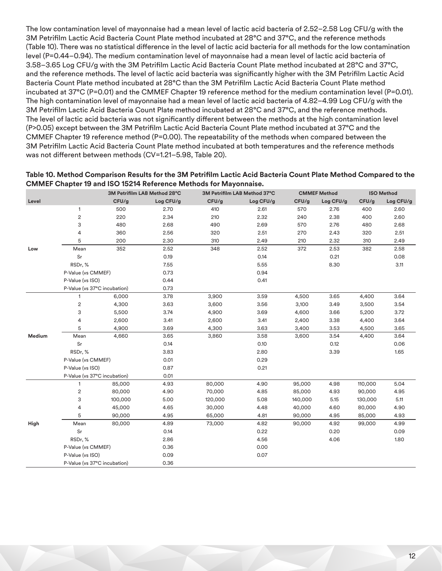The low contamination level of mayonnaise had a mean level of lactic acid bacteria of 2.52–2.58 Log CFU/g with the 3M Petrifilm Lactic Acid Bacteria Count Plate method incubated at 28°C and 37°C, and the reference methods (Table 10). There was no statistical difference in the level of lactic acid bacteria for all methods for the low contamination level (P=0.44–0.94). The medium contamination level of mayonnaise had a mean level of lactic acid bacteria of 3.58–3.65 Log CFU/g with the 3M Petrifilm Lactic Acid Bacteria Count Plate method incubated at 28°C and 37°C, and the reference methods. The level of lactic acid bacteria was significantly higher with the 3M Petrifilm Lactic Acid Bacteria Count Plate method incubated at 28°C than the 3M Petrifilm Lactic Acid Bacteria Count Plate method incubated at 37°C (P=0.01) and the CMMEF Chapter 19 reference method for the medium contamination level (P=0.01). The high contamination level of mayonnaise had a mean level of lactic acid bacteria of 4.82–4.99 Log CFU/g with the 3M Petrifilm Lactic Acid Bacteria Count Plate method incubated at 28°C and 37°C, and the reference methods. The level of lactic acid bacteria was not significantly different between the methods at the high contamination level (P>0.05) except between the 3M Petrifilm Lactic Acid Bacteria Count Plate method incubated at 37°C and the CMMEF Chapter 19 reference method (P=0.00). The repeatability of the methods when compared between the 3M Petrifilm Lactic Acid Bacteria Count Plate method incubated at both temperatures and the reference methods was not different between methods (CV=1.21–5.98, Table 20).

| Table 10. Method Comparison Results for the 3M Petrifilm Lactic Acid Bacteria Count Plate Method Compared to the |
|------------------------------------------------------------------------------------------------------------------|
| <b>CMMEF Chapter 19 and ISO 15214 Reference Methods for Mayonnaise.</b>                                          |

|        |                              |         | 3M Petrifilm LAB Method 28°C |         | 3M Petrifilm LAB Method 37°C |         | <b>CMMEF Method</b> | <b>ISO Method</b> |           |
|--------|------------------------------|---------|------------------------------|---------|------------------------------|---------|---------------------|-------------------|-----------|
| Level  |                              | CFU/g   | Log CFU/g                    | CFU/g   | Log CFU/g                    | CFU/g   | Log CFU/g           | CFU/g             | Log CFU/g |
|        | $\mathbf{1}$                 | 500     | 2.70                         | 410     | 2.61                         | 570     | 2.76                | 400               | 2.60      |
|        | $\sqrt{2}$                   | 220     | 2.34                         | 210     | 2.32                         | 240     | 2.38                | 400               | 2.60      |
|        | 3                            | 480     | 2.68                         | 490     | 2.69                         | 570     | 2.76                | 480               | 2.68      |
|        | 4                            | 360     | 2.56                         | 320     | 2.51                         | 270     | 2.43                | 320               | 2.51      |
|        | 5                            | 200     | 2.30                         | 310     | 2.49                         | 210     | 2.32                | 310               | 2.49      |
| Low    | Mean                         | 352     | 2.52                         | 348     | 2.52                         | 372     | 2.53                | 382               | 2.58      |
|        | Sr                           |         | 0.19                         |         | 0.14                         |         | 0.21                |                   | 0.08      |
|        | RSDr, %                      |         | 7.55                         |         | 5.55                         |         | 8.30                |                   | 3.11      |
|        | P-Value (vs CMMEF)           |         | 0.73                         |         | 0.94                         |         |                     |                   |           |
|        | P-Value (vs ISO)             |         | 0.44                         |         | 0.41                         |         |                     |                   |           |
|        | P-Value (vs 37°C incubation) |         | 0.73                         |         |                              |         |                     |                   |           |
|        | 1                            | 6,000   | 3.78                         | 3,900   | 3.59                         | 4,500   | 3.65                | 4,400             | 3.64      |
|        | $\sqrt{2}$                   | 4,300   | 3.63                         | 3,600   | 3.56                         | 3,100   | 3.49                | 3,500             | 3.54      |
|        | 3                            | 5,500   | 3.74                         | 4,900   | 3.69                         | 4,600   | 3.66                | 5,200             | 3.72      |
|        | 4                            | 2,600   | 3.41                         | 2,600   | 3.41                         | 2,400   | 3.38                | 4,400             | 3.64      |
|        | 5                            | 4,900   | 3.69                         | 4,300   | 3.63                         | 3,400   | 3.53                | 4,500             | 3.65      |
| Medium | Mean                         | 4,660   | 3.65                         | 3,860   | 3.58                         | 3,600   | 3.54                | 4,400             | 3.64      |
|        | Sr                           |         | 0.14                         |         | 0.10                         |         | 0.12                |                   | 0.06      |
|        | RSDr, %                      |         | 3.83                         |         | 2.80                         |         | 3.39                |                   | 1.65      |
|        | P-Value (vs CMMEF)           |         | 0.01                         |         | 0.29                         |         |                     |                   |           |
|        | P-Value (vs ISO)             |         | 0.87                         |         | 0.21                         |         |                     |                   |           |
|        | P-Value (vs 37°C incubation) |         | 0.01                         |         |                              |         |                     |                   |           |
|        | $\mathbf{1}$                 | 85,000  | 4.93                         | 80,000  | 4.90                         | 95,000  | 4.98                | 110,000           | 5.04      |
|        | $\mathbf{2}$                 | 80,000  | 4.90                         | 70,000  | 4.85                         | 85,000  | 4.93                | 90,000            | 4.95      |
|        | 3                            | 100,000 | 5.00                         | 120,000 | 5.08                         | 140,000 | 5.15                | 130,000           | 5.11      |
|        | 4                            | 45,000  | 4.65                         | 30,000  | 4.48                         | 40,000  | 4.60                | 80,000            | 4.90      |
|        | 5                            | 90,000  | 4.95                         | 65,000  | 4.81                         | 90,000  | 4.95                | 85,000            | 4.93      |
| High   | Mean                         | 80,000  | 4.89                         | 73,000  | 4.82                         | 90,000  | 4.92                | 99,000            | 4.99      |
|        | Sr                           |         | 0.14                         |         | 0.22                         |         | 0.20                |                   | 0.09      |
|        | RSDr, %                      |         | 2.86                         |         | 4.56                         |         | 4.06                |                   | 1.80      |
|        | P-Value (vs CMMEF)           |         | 0.36                         |         | 0.00                         |         |                     |                   |           |
|        | P-Value (vs ISO)             |         | 0.09                         |         | 0.07                         |         |                     |                   |           |
|        | P-Value (vs 37°C incubation) |         | 0.36                         |         |                              |         |                     |                   |           |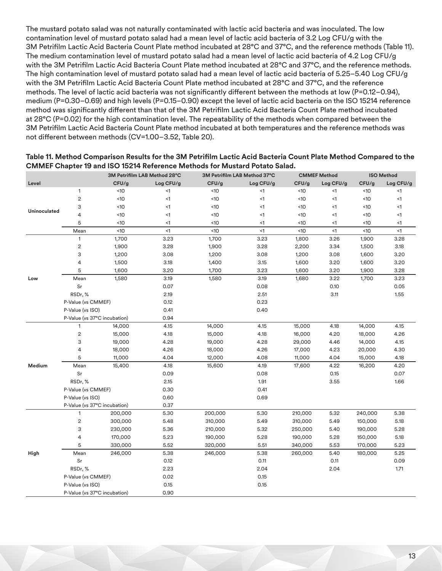The mustard potato salad was not naturally contaminated with lactic acid bacteria and was inoculated. The low contamination level of mustard potato salad had a mean level of lactic acid bacteria of 3.2 Log CFU/g with the 3M Petrifilm Lactic Acid Bacteria Count Plate method incubated at 28°C and 37°C, and the reference methods (Table 11). The medium contamination level of mustard potato salad had a mean level of lactic acid bacteria of 4.2 Log CFU/g with the 3M Petrifilm Lactic Acid Bacteria Count Plate method incubated at 28°C and 37°C, and the reference methods. The high contamination level of mustard potato salad had a mean level of lactic acid bacteria of 5.25–5.40 Log CFU/g with the 3M Petrifilm Lactic Acid Bacteria Count Plate method incubated at 28°C and 37°C, and the reference methods. The level of lactic acid bacteria was not significantly different between the methods at low (P=0.12–0.94), medium (P=0.30–0.69) and high levels (P=0.15–0.90) except the level of lactic acid bacteria on the ISO 15214 reference method was significantly different than that of the 3M Petrifilm Lactic Acid Bacteria Count Plate method incubated at 28°C (P=0.02) for the high contamination level. The repeatability of the methods when compared between the 3M Petrifilm Lactic Acid Bacteria Count Plate method incubated at both temperatures and the reference methods was not different between methods (CV=1.00–3.52, Table 20).

|              |                              |         | 3M Petrifilm LAB Method 28°C |         | 3M Petrifilm LAB Method 37°C |         | <b>CMMEF Method</b> |         | <b>ISO Method</b> |
|--------------|------------------------------|---------|------------------------------|---------|------------------------------|---------|---------------------|---------|-------------------|
| Level        |                              | CFU/g   | Log CFU/g                    | CFU/g   | Log CFU/g                    | CFU/g   | Log CFU/g           | CFU/g   | Log CFU/g         |
|              | $\mathbf{1}$                 | <10     | <1                           | <10     | <1                           | <10     | $<$ 1               | <10     | $<$ 1             |
|              | $\overline{c}$               | <10     | $<$ 1                        | <10     | <1                           | <10     | $<$ 1               | <10     | <1                |
| Uninoculated | 3                            | <10     | $<$ 1                        | <10     | $<$ 1                        | <10     | $<$ 1               | <10     | <1                |
|              | 4                            | <10     | $<$ 1                        | <10     | $<$ 1                        | <10     | $<$ 1               | <10     | <1                |
|              | 5                            | <10     | <1                           | <10     | <1                           | <10     | $<$ 1               | <10     | $\leq$ 1          |
|              | Mean                         | <10     | $\leq$ 1                     | <10     | $\leq$ 1                     | <10     | $\leq$ 1            | <10     | <1                |
|              | $\mathbf{1}$                 | 1,700   | 3.23                         | 1,700   | 3.23                         | 1,800   | 3.26                | 1,900   | 3.28              |
|              | $\overline{c}$               | 1,900   | 3.28                         | 1,900   | 3.28                         | 2,200   | 3.34                | 1,500   | 3.18              |
|              | 3                            | 1,200   | 3.08                         | 1,200   | 3.08                         | 1,200   | 3.08                | 1,600   | 3.20              |
|              | 4                            | 1,500   | 3.18                         | 1,400   | 3.15                         | 1,600   | 3.20                | 1,600   | 3.20              |
|              | 5                            | 1,600   | 3.20                         | 1,700   | 3.23                         | 1,600   | 3.20                | 1,900   | 3.28              |
| Low          | Mean                         | 1,580   | 3.19                         | 1,580   | 3.19                         | 1,680   | 3.22                | 1,700   | 3.23              |
|              | Sr                           |         | 0.07                         |         | 0.08                         |         | 0.10                |         | 0.05              |
|              | RSDr, %                      |         | 2.19                         |         | 2.51                         |         | 3.11                |         | 1.55              |
|              | P-Value (vs CMMEF)           |         | 0.12                         |         | 0.23                         |         |                     |         |                   |
|              | P-Value (vs ISO)             |         | 0.41                         |         | 0.40                         |         |                     |         |                   |
|              | P-Value (vs 37°C incubation) |         | 0.94                         |         |                              |         |                     |         |                   |
|              | 1                            | 14,000  | 4.15                         | 14,000  | 4.15                         | 15,000  | 4.18                | 14,000  | 4.15              |
|              | $\overline{c}$               | 15,000  | 4.18                         | 15,000  | 4.18                         | 16,000  | 4.20                | 18,000  | 4.26              |
|              | 3                            | 19,000  | 4.28                         | 19,000  | 4.28                         | 29,000  | 4.46                | 14,000  | 4.15              |
|              | 4                            | 18,000  | 4.26                         | 18,000  | 4.26                         | 17,000  | 4.23                | 20,000  | 4.30              |
|              | 5                            | 11,000  | 4.04                         | 12,000  | 4.08                         | 11,000  | 4.04                | 15,000  | 4.18              |
| Medium       | Mean                         | 15,400  | 4.18                         | 15,600  | 4.19                         | 17,600  | 4.22                | 16,200  | 4.20              |
|              | Sr                           |         | 0.09                         |         | 0.08                         |         | 0.15                |         | 0.07              |
|              | RSDr, %                      |         | 2.15                         |         | 1.91                         |         | 3.55                |         | 1.66              |
|              | P-Value (vs CMMEF)           |         | 0.30                         |         | 0.41                         |         |                     |         |                   |
|              | P-Value (vs ISO)             |         | 0.60                         |         | 0.69                         |         |                     |         |                   |
|              | P-Value (vs 37°C incubation) |         | 0.37                         |         |                              |         |                     |         |                   |
|              | $\mathbf{1}$                 | 200,000 | 5.30                         | 200,000 | 5.30                         | 210,000 | 5.32                | 240,000 | 5.38              |
|              | $\sqrt{2}$                   | 300,000 | 5.48                         | 310,000 | 5.49                         | 310,000 | 5.49                | 150,000 | 5.18              |
|              | 3                            | 230,000 | 5.36                         | 210,000 | 5.32                         | 250,000 | 5.40                | 190,000 | 5.28              |
|              | 4                            | 170,000 | 5.23                         | 190,000 | 5.28                         | 190,000 | 5.28                | 150,000 | 5.18              |
|              | 5                            | 330,000 | 5.52                         | 320,000 | 5.51                         | 340,000 | 5.53                | 170,000 | 5.23              |
| High         | Mean                         | 246,000 | 5.38                         | 246,000 | 5.38                         | 260,000 | 5.40                | 180,000 | 5.25              |
|              | Sr                           |         | 0.12                         |         | 0.11                         |         | 0.11                |         | 0.09              |
|              | RSDr,%                       |         | 2.23                         |         | 2.04                         |         | 2.04                |         | 1.71              |
|              | P-Value (vs CMMEF)           |         | 0.02                         |         | 0.15                         |         |                     |         |                   |
|              | P-Value (vs ISO)             |         | 0.15                         |         | 0.15                         |         |                     |         |                   |
|              | P-Value (vs 37°C incubation) |         | 0.90                         |         |                              |         |                     |         |                   |

#### **Table 11. Method Comparison Results for the 3M Petrifilm Lactic Acid Bacteria Count Plate Method Compared to the CMMEF Chapter 19 and ISO 15214 Reference Methods for Mustard Potato Salad.**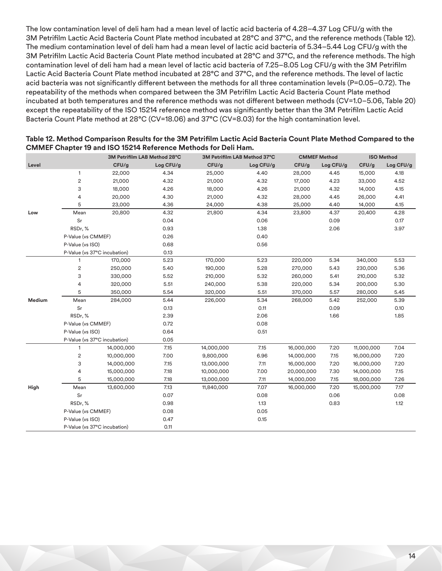The low contamination level of deli ham had a mean level of lactic acid bacteria of 4.28–4.37 Log CFU/g with the 3M Petrifilm Lactic Acid Bacteria Count Plate method incubated at 28°C and 37°C, and the reference methods (Table 12). The medium contamination level of deli ham had a mean level of lactic acid bacteria of 5.34–5.44 Log CFU/g with the 3M Petrifilm Lactic Acid Bacteria Count Plate method incubated at 28°C and 37°C, and the reference methods. The high contamination level of deli ham had a mean level of lactic acid bacteria of 7.25–8.05 Log CFU/g with the 3M Petrifilm Lactic Acid Bacteria Count Plate method incubated at 28°C and 37°C, and the reference methods. The level of lactic acid bacteria was not significantly different between the methods for all three contamination levels (P=0.05–0.72). The repeatability of the methods when compared between the 3M Petrifilm Lactic Acid Bacteria Count Plate method incubated at both temperatures and the reference methods was not different between methods (CV=1.0–5.06, Table 20) except the repeatability of the ISO 15214 reference method was significantly better than the 3M Petrifilm Lactic Acid Bacteria Count Plate method at 28°C (CV=18.06) and 37°C (CV=8.03) for the high contamination level.

| Level  | 1<br>$\sqrt{2}$<br>3<br>4<br>5<br>Mean | CFU/g<br>22,000<br>21,000<br>18,000<br>20,000<br>23,000 | Log CFU/g<br>4.34<br>4.32<br>4.26<br>4.30 | CFU/g<br>25,000<br>21,000<br>18,000 | Log CFU/g<br>4.40<br>4.32 | CFU/g<br>28,000<br>17,000 | Log CFU/g<br>4.45<br>4.23 | CFU/g<br>15,000 | Log CFU/g<br>4.18 |
|--------|----------------------------------------|---------------------------------------------------------|-------------------------------------------|-------------------------------------|---------------------------|---------------------------|---------------------------|-----------------|-------------------|
|        |                                        |                                                         |                                           |                                     |                           |                           |                           |                 |                   |
|        |                                        |                                                         |                                           |                                     |                           |                           |                           |                 |                   |
|        |                                        |                                                         |                                           |                                     |                           |                           |                           | 33,000          | 4.52              |
|        |                                        |                                                         |                                           |                                     | 4.26                      | 21,000                    | 4.32                      | 14,000          | 4.15              |
|        |                                        |                                                         |                                           | 21,000                              | 4.32                      | 28,000                    | 4.45                      | 26,000          | 4.41              |
|        |                                        |                                                         | 4.36                                      | 24,000                              | 4.38                      | 25,000                    | 4.40                      | 14,000          | 4.15              |
| Low    |                                        | 20,800                                                  | 4.32                                      | 21,800                              | 4.34                      | 23,800                    | 4.37                      | 20,400          | 4.28              |
|        | Sr                                     |                                                         | 0.04                                      |                                     | 0.06                      |                           | 0.09                      |                 | 0.17              |
|        | RSDr, %                                |                                                         | 0.93                                      |                                     | 1.38                      |                           | 2.06                      |                 | 3.97              |
|        | P-Value (vs CMMEF)                     |                                                         | 0.26                                      |                                     | 0.40                      |                           |                           |                 |                   |
|        | P-Value (vs ISO)                       |                                                         | 0.68                                      |                                     | 0.56                      |                           |                           |                 |                   |
|        | P-Value (vs 37°C incubation)           |                                                         | 0.13                                      |                                     |                           |                           |                           |                 |                   |
|        | 1                                      | 170,000                                                 | 5.23                                      | 170,000                             | 5.23                      | 220,000                   | 5.34                      | 340,000         | 5.53              |
|        | $\sqrt{2}$                             | 250,000                                                 | 5.40                                      | 190,000                             | 5.28                      | 270,000                   | 5.43                      | 230,000         | 5.36              |
|        | 3                                      | 330,000                                                 | 5.52                                      | 210,000                             | 5.32                      | 260,000                   | 5.41                      | 210,000         | 5.32              |
|        | 4                                      | 320,000                                                 | 5.51                                      | 240,000                             | 5.38                      | 220,000                   | 5.34                      | 200,000         | 5.30              |
|        | 5                                      | 350,000                                                 | 5.54                                      | 320,000                             | 5.51                      | 370,000                   | 5.57                      | 280,000         | 5.45              |
| Medium | Mean                                   | 284,000                                                 | 5.44                                      | 226,000                             | 5.34                      | 268,000                   | 5.42                      | 252,000         | 5.39              |
|        | Sr                                     |                                                         | 0.13                                      |                                     | 0.11                      |                           | 0.09                      |                 | 0.10              |
|        | RSDr,%                                 |                                                         | 2.39                                      |                                     | 2.06                      |                           | 1.66                      |                 | 1.85              |
|        | P-Value (vs CMMEF)                     |                                                         | 0.72                                      |                                     | 0.08                      |                           |                           |                 |                   |
|        | P-Value (vs ISO)                       |                                                         | 0.64                                      |                                     | 0.51                      |                           |                           |                 |                   |
|        | P-Value (vs 37°C incubation)           |                                                         | 0.05                                      |                                     |                           |                           |                           |                 |                   |
|        | 1                                      | 14,000,000                                              | 7.15                                      | 14,000,000                          | 7.15                      | 16,000,000                | 7.20                      | 11,000,000      | 7.04              |
|        | $\mathbf{2}$                           | 10,000,000                                              | 7.00                                      | 9,800,000                           | 6.96                      | 14,000,000                | 7.15                      | 16,000,000      | 7.20              |
|        | 3                                      | 14,000,000                                              | 7.15                                      | 13,000,000                          | 7.11                      | 16,000,000                | 7.20                      | 16,000,000      | 7.20              |
|        | 4                                      | 15,000,000                                              | 7.18                                      | 10,000,000                          | 7.00                      | 20,000,000                | 7.30                      | 14,000,000      | 7.15              |
|        | 5                                      | 15,000,000                                              | 7.18                                      | 13,000,000                          | 7.11                      | 14,000,000                | 7.15                      | 18,000,000      | 7.26              |
| High   | Mean                                   | 13,600,000                                              | 7.13                                      | 11,840,000                          | 7.07                      | 16,000,000                | 7.20                      | 15,000,000      | 7.17              |
|        | Sr                                     |                                                         | 0.07                                      |                                     | 0.08                      |                           | 0.06                      |                 | 0.08              |
|        | RSDr, %                                |                                                         | 0.98                                      |                                     | 1.13                      |                           | 0.83                      |                 | 1.12              |
|        | P-Value (vs CMMEF)                     |                                                         | 0.08                                      |                                     | 0.05                      |                           |                           |                 |                   |
|        | P-Value (vs ISO)                       |                                                         | 0.47                                      |                                     | 0.15                      |                           |                           |                 |                   |
|        | P-Value (vs 37°C incubation)           |                                                         | 0.11                                      |                                     |                           |                           |                           |                 |                   |

#### **Table 12. Method Comparison Results for the 3M Petrifilm Lactic Acid Bacteria Count Plate Method Compared to the CMMEF Chapter 19 and ISO 15214 Reference Methods for Deli Ham.**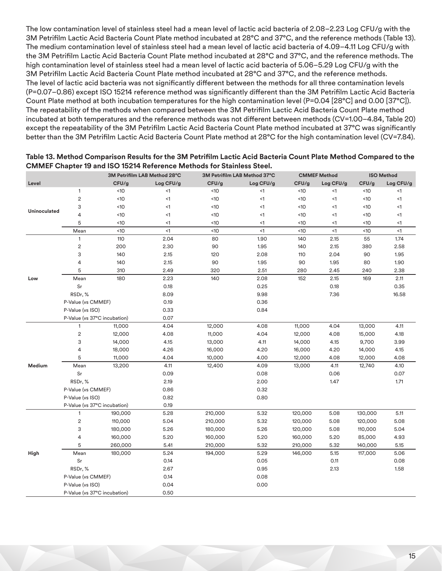The low contamination level of stainless steel had a mean level of lactic acid bacteria of 2.08–2.23 Log CFU/g with the 3M Petrifilm Lactic Acid Bacteria Count Plate method incubated at 28°C and 37°C, and the reference methods (Table 13). The medium contamination level of stainless steel had a mean level of lactic acid bacteria of 4.09–4.11 Log CFU/g with the 3M Petrifilm Lactic Acid Bacteria Count Plate method incubated at 28°C and 37°C, and the reference methods. The high contamination level of stainless steel had a mean level of lactic acid bacteria of 5.06–5.29 Log CFU/g with the 3M Petrifilm Lactic Acid Bacteria Count Plate method incubated at 28°C and 37°C, and the reference methods. The level of lactic acid bacteria was not significantly different between the methods for all three contamination levels (P=0.07–0.86) except ISO 15214 reference method was significantly different than the 3M Petrifilm Lactic Acid Bacteria Count Plate method at both incubation temperatures for the high contamination level (P=0.04 [28°C] and 0.00 [37°C]). The repeatability of the methods when compared between the 3M Petrifilm Lactic Acid Bacteria Count Plate method incubated at both temperatures and the reference methods was not different between methods (CV=1.00–4.84, Table 20) except the repeatability of the 3M Petrifilm Lactic Acid Bacteria Count Plate method incubated at 37°C was significantly better than the 3M Petrifilm Lactic Acid Bacteria Count Plate method at 28°C for the high contamination level (CV=7.84).

|              |                              |         | 3M Petrifilm LAB Method 28°C |         | 3M Petrifilm LAB Method 37°C |         | <b>CMMEF Method</b> |         | <b>ISO Method</b> |
|--------------|------------------------------|---------|------------------------------|---------|------------------------------|---------|---------------------|---------|-------------------|
| Level        |                              | CFU/g   | Log CFU/g                    | CFU/g   | Log CFU/g                    | CFU/g   | Log CFU/g           | CFU/g   | Log CFU/g         |
|              | $\mathbf{1}$                 | <10     | <1                           | <10     | <1                           | <10     | <1                  | <10     | $<$ 1             |
|              | $\sqrt{2}$                   | <10     | $\leq$ 1                     | <10     | $\leq$ 1                     | <10     | $<$ 1               | <10     | <1                |
| Uninoculated | 3                            | <10     | $\leq$ 1                     | <10     | $\leq$ 1                     | <10     | $<$ 1               | <10     | <1                |
|              | 4                            | <10     | $\leq$ 1                     | <10     | $\leq$ 1                     | <10     | $<$ 1               | <10     | <1                |
|              | 5                            | <10     | $\leq$ 1                     | <10     | $\leq$ 1                     | <10     | $<$ 1               | <10     | <1                |
|              | Mean                         | <10     | $\leq$ 1                     | <10     | $\leq$ 1                     | <10     | <1                  | <10     | <1                |
|              | $\mathbf{1}$                 | 110     | 2.04                         | 80      | 1.90                         | 140     | 2.15                | 55      | 1.74              |
|              | $\sqrt{2}$                   | 200     | 2.30                         | 90      | 1.95                         | 140     | 2.15                | 380     | 2.58              |
|              | 3                            | 140     | 2.15                         | 120     | 2.08                         | 110     | 2.04                | 90      | 1.95              |
|              | 4                            | 140     | 2.15                         | 90      | 1.95                         | 90      | 1.95                | 80      | 1.90              |
|              | 5                            | 310     | 2.49                         | 320     | 2.51                         | 280     | 2.45                | 240     | 2.38              |
| Low          | Mean                         | 180     | 2.23                         | 140     | 2.08                         | 152     | 2.15                | 169     | 2.11              |
|              | Sr                           |         | 0.18                         |         | 0.25                         |         | 0.18                |         | 0.35              |
|              | RSDr, %                      |         | 8.09                         |         | 9.98                         |         | 7.36                |         | 16.58             |
|              | P-Value (vs CMMEF)           |         | 0.19                         |         | 0.36                         |         |                     |         |                   |
|              | P-Value (vs ISO)             |         | 0.33                         |         | 0.84                         |         |                     |         |                   |
|              | P-Value (vs 37°C incubation) |         | 0.07                         |         |                              |         |                     |         |                   |
|              | $\mathbf{1}$                 | 11,000  | 4.04                         | 12,000  | 4.08                         | 11,000  | 4.04                | 13,000  | 4.11              |
|              | $\sqrt{2}$                   | 12,000  | 4.08                         | 11,000  | 4.04                         | 12,000  | 4.08                | 15,000  | 4.18              |
|              | 3                            | 14,000  | 4.15                         | 13,000  | 4.11                         | 14,000  | 4.15                | 9,700   | 3.99              |
|              | 4                            | 18,000  | 4.26                         | 16,000  | 4.20                         | 16,000  | 4.20                | 14,000  | 4.15              |
|              | 5                            | 11,000  | 4.04                         | 10,000  | 4.00                         | 12,000  | 4.08                | 12,000  | 4.08              |
| Medium       | Mean                         | 13,200  | 4.11                         | 12,400  | 4.09                         | 13,000  | 4.11                | 12,740  | 4.10              |
|              | Sr                           |         | 0.09                         |         | 0.08                         |         | 0.06                |         | 0.07              |
|              | RSDr, %                      |         | 2.19                         |         | 2.00                         |         | 1.47                |         | 1.71              |
|              | P-Value (vs CMMEF)           |         | 0.86                         |         | 0.32                         |         |                     |         |                   |
|              | P-Value (vs ISO)             |         | 0.82                         |         | 0.80                         |         |                     |         |                   |
|              | P-Value (vs 37°C incubation) |         | 0.19                         |         |                              |         |                     |         |                   |
|              | $\mathbf{1}$                 | 190,000 | 5.28                         | 210,000 | 5.32                         | 120,000 | 5.08                | 130,000 | 5.11              |
|              | $\overline{\mathbf{c}}$      | 110,000 | 5.04                         | 210,000 | 5.32                         | 120,000 | 5.08                | 120,000 | 5.08              |
|              | 3                            | 180,000 | 5.26                         | 180,000 | 5.26                         | 120,000 | 5.08                | 110,000 | 5.04              |
|              | 4                            | 160,000 | 5.20                         | 160,000 | 5.20                         | 160,000 | 5.20                | 85,000  | 4.93              |
|              | 5                            | 260,000 | 5.41                         | 210,000 | 5.32                         | 210,000 | 5.32                | 140,000 | 5.15              |
| High         | Mean                         | 180,000 | 5.24                         | 194,000 | 5.29                         | 146,000 | 5.15                | 117,000 | 5.06              |
|              | Sr                           |         | 0.14                         |         | 0.05                         |         | 0.11                |         | 0.08              |
|              | RSDr, %                      |         | 2.67                         |         | 0.95                         |         | 2.13                |         | 1.58              |
|              | P-Value (vs CMMEF)           |         | 0.14                         |         | 0.08                         |         |                     |         |                   |
|              | P-Value (vs ISO)             |         | 0.04                         |         | 0.00                         |         |                     |         |                   |
|              | P-Value (vs 37°C incubation) |         | 0.50                         |         |                              |         |                     |         |                   |

**Table 13. Method Comparison Results for the 3M Petrifilm Lactic Acid Bacteria Count Plate Method Compared to the CMMEF Chapter 19 and ISO 15214 Reference Methods for Stainless Steel.**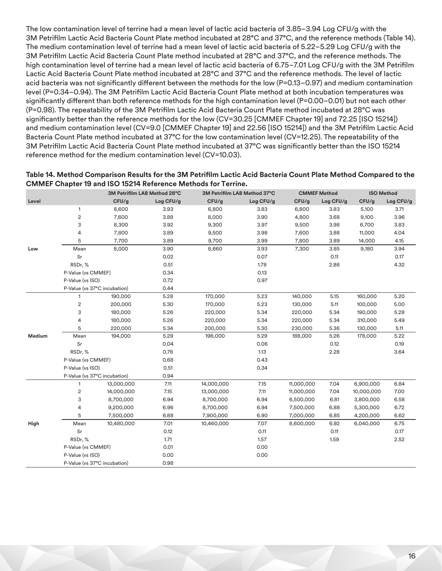The low contamination level of terrine had a mean level of lactic acid bacteria of 3.85–3.94 Log CFU/g with the 3M Petrifilm Lactic Acid Bacteria Count Plate method incubated at 28°C and 37°C, and the reference methods (Table 14). The medium contamination level of terrine had a mean level of lactic acid bacteria of 5.22–5.29 Log CFU/g with the 3M Petrifilm Lactic Acid Bacteria Count Plate method incubated at 28°C and 37°C, and the reference methods. The high contamination level of terrine had a mean level of lactic acid bacteria of 6.75–7.01 Log CFU/g with the 3M Petrifilm Lactic Acid Bacteria Count Plate method incubated at 28°C and 37°C and the reference methods. The level of lactic acid bacteria was not significantly different between the methods for the low (P=0.13–0.97) and medium contamination level (P=0.34–0.94). The 3M Petrifilm Lactic Acid Bacteria Count Plate method at both incubation temperatures was significantly different than both reference methods for the high contamination level (P=0.00–0.01) but not each other (P=0.98). The repeatability of the 3M Petrifilm Lactic Acid Bacteria Count Plate method incubated at 28°C was significantly better than the reference methods for the low (CV=30.25 [CMMEF Chapter 19] and 72.25 [ISO 15214]) and medium contamination level (CV=9.0 [CMMEF Chapter 19] and 22.56 [ISO 15214]) and the 3M Petrifilm Lactic Acid Bacteria Count Plate method incubated at 37°C for the low contamination level (CV=12.25). The repeatability of the 3M Petrifilm Lactic Acid Bacteria Count Plate method incubated at 37°C was significantly better than the ISO 15214 reference method for the medium contamination level (CV=10.03).

| Table 14. Method Comparison Results for the 3M Petrifilm Lactic Acid Bacteria Count Plate Method Compared to the |
|------------------------------------------------------------------------------------------------------------------|
| <b>CMMEF Chapter 19 and ISO 15214 Reference Methods for Terrine.</b>                                             |

|        |                              | 3M Petrifilm LAB Method 28°C |           | 3M Petrifilm LAB Method 37°C |           |            | <b>CMMEF Method</b> | <b>ISO Method</b> |           |
|--------|------------------------------|------------------------------|-----------|------------------------------|-----------|------------|---------------------|-------------------|-----------|
| Level  |                              | CFU/g                        | Log CFU/g | CFU/g                        | Log CFU/g | CFU/g      | Log CFU/g           | CFU/g             | Log CFU/g |
|        | $\mathbf{1}$                 | 8,600                        | 3.93      | 6,800                        | 3.83      | 6,800      | 3.83                | 5,100             | 3.71      |
|        | $\sqrt{2}$                   | 7,600                        | 3.88      | 8,000                        | 3.90      | 4,800      | 3.68                | 9,100             | 3.96      |
|        | 3                            | 8,300                        | 3.92      | 9,300                        | 3.97      | 9,500      | 3.98                | 6,700             | 3.83      |
|        | 4                            | 7,800                        | 3.89      | 9,500                        | 3.98      | 7,600      | 3.88                | 11,000            | 4.04      |
|        | 5                            | 7,700                        | 3.89      | 9,700                        | 3.99      | 7,800      | 3.89                | 14,000            | 4.15      |
| Low    | Mean                         | 8,000                        | 3.90      | 8,660                        | 3.93      | 7,300      | 3.85                | 9,180             | 3.94      |
|        | Sr                           |                              | 0.02      |                              | 0.07      |            | 0.11                |                   | 0.17      |
|        | RSDr,%                       |                              | 0.51      |                              | 1.78      |            | 2.86                |                   | 4.32      |
|        | P-Value (vs CMMEF)           |                              | 0.34      |                              | 0.13      |            |                     |                   |           |
|        | P-Value (vs ISO)             |                              | 0.72      |                              | 0.97      |            |                     |                   |           |
|        | P-Value (vs 37°C incubation) |                              | 0.44      |                              |           |            |                     |                   |           |
|        | $\mathbf{1}$                 | 190,000                      | 5.28      | 170,000                      | 5.23      | 140,000    | 5.15                | 160,000           | 5.20      |
|        | $\sqrt{2}$                   | 200,000                      | 5.30      | 170,000                      | 5.23      | 130,000    | 5.11                | 100,000           | 5.00      |
|        | 3                            | 180,000                      | 5.26      | 220,000                      | 5.34      | 220,000    | 5.34                | 190,000           | 5.28      |
|        | 4                            | 180,000                      | 5.26      | 220,000                      | 5.34      | 220,000    | 5.34                | 310,000           | 5.49      |
|        | 5                            | 220,000                      | 5.34      | 200,000                      | 5.30      | 230,000    | 5.36                | 130,000           | 5.11      |
| Medium | Mean                         | 194,000                      | 5.29      | 196,000                      | 5.29      | 188,000    | 5.26                | 178,000           | 5.22      |
|        | Sr                           |                              | 0.04      |                              | 0.06      |            | 0.12                |                   | 0.19      |
|        | RSDr, %                      |                              | 0.76      |                              | 1.13      |            | 2.28                |                   | 3.64      |
|        | P-Value (vs CMMEF)           |                              | 0.68      |                              | 0.43      |            |                     |                   |           |
|        | P-Value (vs ISO)             |                              | 0.51      |                              | 0.34      |            |                     |                   |           |
|        | P-Value (vs 37°C incubation) |                              | 0.94      |                              |           |            |                     |                   |           |
|        | $\mathbf{1}$                 | 13,000,000                   | 7.11      | 14,000,000                   | 7.15      | 11,000,000 | 7.04                | 6,900,000         | 6.84      |
|        | $\overline{c}$               | 14,000,000                   | 7.15      | 13,000,000                   | 7.11      | 11,000,000 | 7.04                | 10,000,000        | 7.00      |
|        | 3                            | 8,700,000                    | 6.94      | 8,700,000                    | 6.94      | 6,500,000  | 6.81                | 3,800,000         | 6.58      |
|        | 4                            | 9,200,000                    | 6.96      | 8,700,000                    | 6.94      | 7,500,000  | 6.88                | 5,300,000         | 6.72      |
|        | 5                            | 7,500,000                    | 6.88      | 7,900,000                    | 6.90      | 7,000,000  | 6.85                | 4,200,000         | 6.62      |
| High   | Mean                         | 10,480,000                   | 7.01      | 10,460,000                   | 7.07      | 8,600,000  | 6.92                | 6,040,000         | 6.75      |
|        | Sr                           |                              | 0.12      |                              | 0.11      |            | 0.11                |                   | 0.17      |
|        | RSDr, %                      |                              | 1.71      |                              | 1.57      |            | 1.59                |                   | 2.52      |
|        | P-Value (vs CMMEF)           |                              | 0.01      |                              | 0.00      |            |                     |                   |           |
|        | P-Value (vs ISO)             |                              | 0.00      |                              | 0.00      |            |                     |                   |           |
|        | P-Value (vs 37°C incubation) |                              | 0.98      |                              |           |            |                     |                   |           |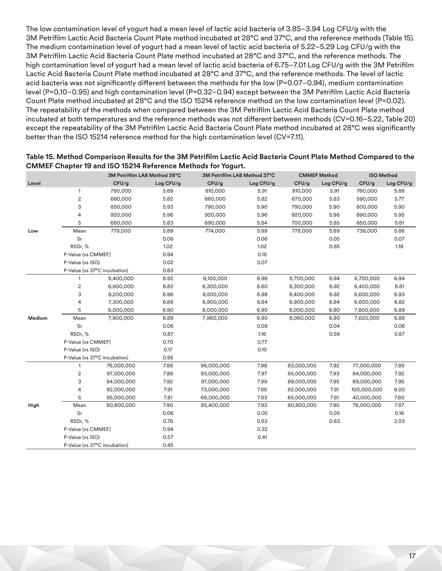The low contamination level of yogurt had a mean level of lactic acid bacteria of 3.85–3.94 Log CFU/g with the 3M Petrifilm Lactic Acid Bacteria Count Plate method incubated at 28°C and 37°C, and the reference methods (Table 15). The medium contamination level of yogurt had a mean level of lactic acid bacteria of 5.22–5.29 Log CFU/g with the 3M Petrifilm Lactic Acid Bacteria Count Plate method incubated at 28°C and 37°C, and the reference methods. The high contamination level of yogurt had a mean level of lactic acid bacteria of 6.75–7.01 Log CFU/g with the 3M Petrifilm Lactic Acid Bacteria Count Plate method incubated at 28°C and 37°C, and the reference methods. The level of lactic acid bacteria was not significantly different between the methods for the low (P=0.07–0.94), medium contamination level (P=0.10–0.95) and high contamination level (P=0.32–0.94) except between the 3M Petrifilm Lactic Acid Bacteria Count Plate method incubated at 28°C and the ISO 15214 reference method on the low contamination level (P=0.02). The repeatability of the methods when compared between the 3M Petrifilm Lactic Acid Bacteria Count Plate method incubated at both temperatures and the reference methods was not different between methods (CV=0.16–5.22, Table 20) except the repeatability of the 3M Petrifilm Lactic Acid Bacteria Count Plate method incubated at 28°C was significantly better than the ISO 15214 reference method for the high contamination level (CV=7.11).

|        |                              | 3M Petrifilm LAB Method 28°C |           | 3M Petrifilm LAB Method 37°C |           | <b>CMMEF Method</b> |           | <b>ISO Method</b> |           |
|--------|------------------------------|------------------------------|-----------|------------------------------|-----------|---------------------|-----------|-------------------|-----------|
| Level  |                              | CFU/g                        | Log CFU/g | CFU/g                        | Log CFU/g | CFU/g               | Log CFU/g | CFU/g             | Log CFU/g |
|        | $\mathbf{1}$                 | 780,000                      | 5.89      | 810,000                      | 5.91      | 810,000             | 5.91      | 760,000           | 5.88      |
|        | $\sqrt{2}$                   | 660,000                      | 5.82      | 660,000                      | 5.82      | 670,000             | 5.83      | 590,000           | 5.77      |
|        | 3                            | 850,000                      | 5.93      | 790,000                      | 5.90      | 790,000             | 5.90      | 800,000           | 5.90      |
|        | 4                            | 920,000                      | 5.96      | 920,000                      | 5.96      | 920,000             | 5.96      | 890,000           | 5.95      |
|        | 5                            | 680,000                      | 5.83      | 690,000                      | 5.84      | 700,000             | 5.85      | 650,000           | 5.81      |
| Low    | Mean                         | 778,000                      | 5.89      | 774,000                      | 5.89      | 778,000             | 5.89      | 738,000           | 5.86      |
|        | Sr                           |                              | 0.06      |                              | 0.06      |                     | 0.05      |                   | 0.07      |
|        | RSDr, %                      |                              | 1.02      |                              | 1.02      |                     | 0.85      |                   | 1.19      |
|        | P-Value (vs CMMEF)           |                              | 0.94      |                              | 0.18      |                     |           |                   |           |
|        | P-Value (vs ISO)             |                              | 0.02      |                              | 0.07      |                     |           |                   |           |
|        | P-Value (vs 37°C incubation) |                              | 0.83      |                              |           |                     |           |                   |           |
|        | 1                            | 8,400,000                    | 6.92      | 9,100,000                    | 6.96      | 8,700,000           | 6.94      | 8,700,000         | 6.94      |
|        | $\overline{\mathbf{c}}$      | 6,600,000                    | 6.82      | 6,300,000                    | 6.80      | 8,300,000           | 6.92      | 6,400,000         | 6.81      |
|        | 3                            | 9,200,000                    | 6.96      | 9,500,000                    | 6.98      | 8,400,000           | 6.92      | 8,600,000         | 6.93      |
|        | 4                            | 7,300,000                    | 6.86      | 6,900,000                    | 6.84      | 6,900,000           | 6.84      | 6,600,000         | 6.82      |
|        | 5                            | 8,000,000                    | 6.90      | 8,000,000                    | 6.90      | 8,000,000           | 6.90      | 7,800,000         | 6.89      |
| Medium | Mean                         | 7,900,000                    | 6.89      | 7,960,000                    | 6.90      | 8,060,000           | 6.90      | 7,620,000         | 6.88      |
|        | Sr                           |                              | 0.06      |                              | 0.08      |                     | 0.04      |                   | 0.06      |
|        | RSDr, %                      |                              | 0.87      |                              | 1.16      |                     | 0.58      |                   | 0.87      |
|        | P-Value (vs CMMEF)           |                              | 0.70      |                              | 0.77      |                     |           |                   |           |
|        | P-Value (vs ISO)             |                              | 0.17      |                              | 0.10      |                     |           |                   |           |
|        | P-Value (vs 37°C incubation) |                              | 0.95      |                              |           |                     |           |                   |           |
|        | $\mathbf{1}$                 | 76,000,000                   | 7.88      | 96,000,000                   | 7.98      | 83,000,000          | 7.92      | 77,000,000        | 7.89      |
|        | $\sqrt{2}$                   | 97,000,000                   | 7.99      | 93,000,000                   | 7.97      | 85,000,000          | 7.93      | 84,000,000        | 7.92      |
|        | 3                            | 84,000,000                   | 7.92      | 97,000,000                   | 7.99      | 89,000,000          | 7.95      | 89,000,000        | 7.95      |
|        | 4                            | 82,000,000                   | 7.91      | 73,000,000                   | 7.86      | 82,000,000          | 7.91      | 100,000,000       | 8.00      |
|        | 5                            | 65,000,000                   | 7.81      | 68,000,000                   | 7.83      | 65,000,000          | 7.81      | 40,000,000        | 7.60      |
| High   | Mean                         | 80,800,000                   | 7.90      | 85,400,000                   | 7.93      | 80,800,000          | 7.90      | 78,000,000        | 7.87      |
|        | Sr                           |                              | 0.06      |                              | 0.05      |                     | 0.05      |                   | 0.16      |
|        | RSDr, %                      |                              | 0.76      |                              | 0.63      |                     | 0.63      |                   | 2.03      |
|        | P-Value (vs CMMEF)           |                              | 0.94      |                              | 0.32      |                     |           |                   |           |
|        | P-Value (vs ISO)             |                              | 0.57      |                              | 0.41      |                     |           |                   |           |
|        | P-Value (vs 37°C incubation) |                              | 0.45      |                              |           |                     |           |                   |           |

#### **Table 15. Method Comparison Results for the 3M Petrifilm Lactic Acid Bacteria Count Plate Method Compared to the CMMEF Chapter 19 and ISO 15214 Reference Methods for Yogurt.**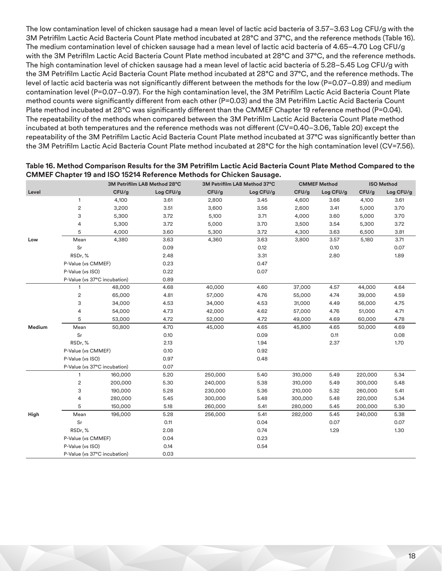The low contamination level of chicken sausage had a mean level of lactic acid bacteria of 3.57–3.63 Log CFU/g with the 3M Petrifilm Lactic Acid Bacteria Count Plate method incubated at 28°C and 37°C, and the reference methods (Table 16). The medium contamination level of chicken sausage had a mean level of lactic acid bacteria of 4.65–4.70 Log CFU/g with the 3M Petrifilm Lactic Acid Bacteria Count Plate method incubated at 28°C and 37°C, and the reference methods. The high contamination level of chicken sausage had a mean level of lactic acid bacteria of 5.28–5.45 Log CFU/g with the 3M Petrifilm Lactic Acid Bacteria Count Plate method incubated at 28°C and 37°C, and the reference methods. The level of lactic acid bacteria was not significantly different between the methods for the low (P=0.07–0.89) and medium contamination level (P=0.07–0.97). For the high contamination level, the 3M Petrifilm Lactic Acid Bacteria Count Plate method counts were significantly different from each other (P=0.03) and the 3M Petrifilm Lactic Acid Bacteria Count Plate method incubated at 28°C was significantly different than the CMMEF Chapter 19 reference method (P=0.04). The repeatability of the methods when compared between the 3M Petrifilm Lactic Acid Bacteria Count Plate method incubated at both temperatures and the reference methods was not different (CV=0.40–3.06, Table 20) except the repeatability of the 3M Petrifilm Lactic Acid Bacteria Count Plate method incubated at 37°C was significantly better than the 3M Petrifilm Lactic Acid Bacteria Count Plate method incubated at 28°C for the high contamination level (CV=7.56).

|        |                              |         | 3M Petrifilm LAB Method 28°C |         | 3M Petrifilm LAB Method 37°C |         | <b>CMMEF Method</b> |         | <b>ISO Method</b> |
|--------|------------------------------|---------|------------------------------|---------|------------------------------|---------|---------------------|---------|-------------------|
| Level  |                              | CFU/g   | Log CFU/g                    | CFU/g   | Log CFU/g                    | CFU/g   | Log CFU/g           | CFU/g   | Log CFU/g         |
|        | 1                            | 4,100   | 3.61                         | 2,800   | 3.45                         | 4,600   | 3.66                | 4,100   | 3.61              |
|        | $\sqrt{2}$                   | 3,200   | 3.51                         | 3,600   | 3.56                         | 2,600   | 3.41                | 5,000   | 3.70              |
|        | 3                            | 5,300   | 3.72                         | 5,100   | 3.71                         | 4,000   | 3.60                | 5,000   | 3.70              |
|        | 4                            | 5,300   | 3.72                         | 5,000   | 3.70                         | 3,500   | 3.54                | 5,300   | 3.72              |
|        | 5                            | 4,000   | 3.60                         | 5,300   | 3.72                         | 4,300   | 3.63                | 6,500   | 3.81              |
| Low    | Mean                         | 4,380   | 3.63                         | 4,360   | 3.63                         | 3,800   | 3.57                | 5,180   | 3.71              |
|        | Sr                           |         | 0.09                         |         | 0.12                         |         | 0.10                |         | 0.07              |
|        | RSDr, %                      |         | 2.48                         |         | 3.31                         |         | 2.80                |         | 1.89              |
|        | P-Value (vs CMMEF)           |         | 0.23                         |         | 0.47                         |         |                     |         |                   |
|        | P-Value (vs ISO)             |         | 0.22                         |         | 0.07                         |         |                     |         |                   |
|        | P-Value (vs 37°C incubation) |         | 0.89                         |         |                              |         |                     |         |                   |
|        | $\mathbf{1}$                 | 48,000  | 4.68                         | 40,000  | 4.60                         | 37,000  | 4.57                | 44,000  | 4.64              |
|        | $\sqrt{2}$                   | 65,000  | 4.81                         | 57,000  | 4.76                         | 55,000  | 4.74                | 39,000  | 4.59              |
|        | 3                            | 34,000  | 4.53                         | 34,000  | 4.53                         | 31,000  | 4.49                | 56,000  | 4.75              |
|        | 4                            | 54,000  | 4.73                         | 42,000  | 4.62                         | 57,000  | 4.76                | 51,000  | 4.71              |
|        | 5                            | 53,000  | 4.72                         | 52,000  | 4.72                         | 49,000  | 4.69                | 60,000  | 4.78              |
| Medium | Mean                         | 50,800  | 4.70                         | 45,000  | 4.65                         | 45,800  | 4.65                | 50,000  | 4.69              |
|        | Sr                           |         | 0.10                         |         | 0.09                         |         | 0.11                |         | 0.08              |
|        | RSDr,%                       |         | 2.13                         |         | 1.94                         |         | 2.37                |         | 1.70              |
|        | P-Value (vs CMMEF)           |         | 0.10                         |         | 0.92                         |         |                     |         |                   |
|        | P-Value (vs ISO)             |         | 0.97                         |         | 0.48                         |         |                     |         |                   |
|        | P-Value (vs 37°C incubation) |         | 0.07                         |         |                              |         |                     |         |                   |
|        | $\mathbf{1}$                 | 160,000 | 5.20                         | 250,000 | 5.40                         | 310,000 | 5.49                | 220,000 | 5.34              |
|        | $\overline{c}$               | 200,000 | 5.30                         | 240,000 | 5.38                         | 310,000 | 5.49                | 300,000 | 5.48              |
|        | 3                            | 190,000 | 5.28                         | 230,000 | 5.36                         | 210,000 | 5.32                | 260,000 | 5.41              |
|        | 4                            | 280,000 | 5.45                         | 300,000 | 5.48                         | 300,000 | 5.48                | 220,000 | 5.34              |
|        | 5                            | 150,000 | 5.18                         | 260,000 | 5.41                         | 280,000 | 5.45                | 200,000 | 5.30              |
| High   | Mean                         | 196,000 | 5.28                         | 256,000 | 5.41                         | 282,000 | 5.45                | 240,000 | 5.38              |
|        | Sr                           |         | 0.11                         |         | 0.04                         |         | 0.07                |         | 0.07              |
|        | RSDr, %                      |         | 2.08                         |         | 0.74                         |         | 1.29                |         | 1.30              |
|        | P-Value (vs CMMEF)           |         | 0.04                         |         | 0.23                         |         |                     |         |                   |
|        | P-Value (vs ISO)             |         | 0.14                         |         | 0.54                         |         |                     |         |                   |
|        | P-Value (vs 37°C incubation) |         | 0.03                         |         |                              |         |                     |         |                   |

# **Table 16. Method Comparison Results for the 3M Petrifilm Lactic Acid Bacteria Count Plate Method Compared to the CMMEF Chapter 19 and ISO 15214 Reference Methods for Chicken Sausage.**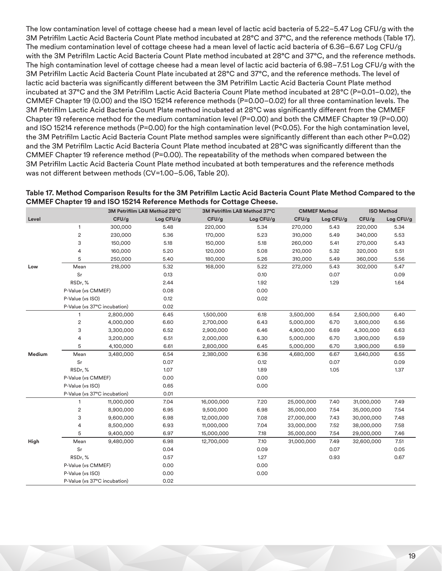The low contamination level of cottage cheese had a mean level of lactic acid bacteria of 5.22–5.47 Log CFU/g with the 3M Petrifilm Lactic Acid Bacteria Count Plate method incubated at 28°C and 37°C, and the reference methods (Table 17). The medium contamination level of cottage cheese had a mean level of lactic acid bacteria of 6.36–6.67 Log CFU/g with the 3M Petrifilm Lactic Acid Bacteria Count Plate method incubated at 28°C and 37°C, and the reference methods. The high contamination level of cottage cheese had a mean level of lactic acid bacteria of 6.98–7.51 Log CFU/g with the 3M Petrifilm Lactic Acid Bacteria Count Plate incubated at 28°C and 37°C, and the reference methods. The level of lactic acid bacteria was significantly different between the 3M Petrifilm Lactic Acid Bacteria Count Plate method incubated at 37°C and the 3M Petrifilm Lactic Acid Bacteria Count Plate method incubated at 28°C (P=0.01–0.02), the CMMEF Chapter 19 (0.00) and the ISO 15214 reference methods (P=0.00–0.02) for all three contamination levels. The 3M Petrifilm Lactic Acid Bacteria Count Plate method incubated at 28°C was significantly different from the CMMEF Chapter 19 reference method for the medium contamination level (P=0.00) and both the CMMEF Chapter 19 (P=0.00) and ISO 15214 reference methods (P=0.00) for the high contamination level (P<0.05). For the high contamination level, the 3M Petrifilm Lactic Acid Bacteria Count Plate method samples were significantly different than each other P=0.02) and the 3M Petrifilm Lactic Acid Bacteria Count Plate method incubated at 28°C was significantly different than the CMMEF Chapter 19 reference method (P=0.00). The repeatability of the methods when compared between the 3M Petrifilm Lactic Acid Bacteria Count Plate method incubated at both temperatures and the reference methods was not different between methods (CV=1.00–5.06, Table 20).

| Table 17. Method Comparison Results for the 3M Petrifilm Lactic Acid Bacteria Count Plate Method Compared to the |
|------------------------------------------------------------------------------------------------------------------|
| <b>CMMEF Chapter 19 and ISO 15214 Reference Methods for Cottage Cheese.</b>                                      |

|        |                              |            | 3M Petrifilm LAB Method 28°C | 3M Petrifilm LAB Method 37°C |           | <b>CMMEF Method</b> |           | <b>ISO Method</b> |           |
|--------|------------------------------|------------|------------------------------|------------------------------|-----------|---------------------|-----------|-------------------|-----------|
| Level  |                              | CFU/g      | Log CFU/g                    | CFU/g                        | Log CFU/g | CFU/g               | Log CFU/g | CFU/g             | Log CFU/g |
|        | 1                            | 300,000    | 5.48                         | 220,000                      | 5.34      | 270,000             | 5.43      | 220,000           | 5.34      |
|        | $\overline{\mathbf{c}}$      | 230,000    | 5.36                         | 170,000                      | 5.23      | 310,000             | 5.49      | 340,000           | 5.53      |
|        | 3                            | 150,000    | 5.18                         | 150,000                      | 5.18      | 260,000             | 5.41      | 270,000           | 5.43      |
|        | 4                            | 160,000    | 5.20                         | 120,000                      | 5.08      | 210,000             | 5.32      | 320,000           | 5.51      |
|        | 5                            | 250,000    | 5.40                         | 180,000                      | 5.26      | 310,000             | 5.49      | 360,000           | 5.56      |
| Low    | Mean                         | 218,000    | 5.32                         | 168,000                      | 5.22      | 272,000             | 5.43      | 302,000           | 5.47      |
|        | Sr                           |            | 0.13                         |                              | 0.10      |                     | 0.07      |                   | 0.09      |
|        | RSDr, %                      |            | 2.44                         |                              | 1.92      |                     | 1.29      |                   | 1.64      |
|        | P-Value (vs CMMEF)           |            | 0.08                         |                              | 0.00      |                     |           |                   |           |
|        | P-Value (vs ISO)             |            | 0.12                         |                              | 0.02      |                     |           |                   |           |
|        | P-Value (vs 37°C incubation) |            | 0.02                         |                              |           |                     |           |                   |           |
|        | $\mathbf{1}$                 | 2,800,000  | 6.45                         | 1,500,000                    | 6.18      | 3,500,000           | 6.54      | 2,500,000         | 6.40      |
|        | 2                            | 4,000,000  | 6.60                         | 2,700,000                    | 6.43      | 5,000,000           | 6.70      | 3,600,000         | 6.56      |
|        | 3                            | 3,300,000  | 6.52                         | 2,900,000                    | 6.46      | 4,900,000           | 6.69      | 4,300,000         | 6.63      |
|        | 4                            | 3,200,000  | 6.51                         | 2,000,000                    | 6.30      | 5,000,000           | 6.70      | 3,900,000         | 6.59      |
|        | 5                            | 4,100,000  | 6.61                         | 2,800,000                    | 6.45      | 5,000,000           | 6.70      | 3,900,000         | 6.59      |
| Medium | Mean                         | 3,480,000  | 6.54                         | 2,380,000                    | 6.36      | 4,680,000           | 6.67      | 3,640,000         | 6.55      |
|        | Sr                           |            | 0.07                         |                              | 0.12      |                     | 0.07      |                   | 0.09      |
|        | RSDr, %                      |            | 1.07                         |                              | 1.89      |                     | 1.05      |                   | 1.37      |
|        | P-Value (vs CMMEF)           |            | 0.00                         |                              | 0.00      |                     |           |                   |           |
|        | P-Value (vs ISO)             |            | 0.65                         |                              | 0.00      |                     |           |                   |           |
|        | P-Value (vs 37°C incubation) |            | 0.01                         |                              |           |                     |           |                   |           |
|        | 1                            | 11,000,000 | 7.04                         | 16,000,000                   | 7.20      | 25,000,000          | 7.40      | 31,000,000        | 7.49      |
|        | $\overline{\mathbf{c}}$      | 8,900,000  | 6.95                         | 9,500,000                    | 6.98      | 35,000,000          | 7.54      | 35,000,000        | 7.54      |
|        | 3                            | 9,600,000  | 6.98                         | 12,000,000                   | 7.08      | 27,000,000          | 7.43      | 30,000,000        | 7.48      |
|        | 4                            | 8,500,000  | 6.93                         | 11,000,000                   | 7.04      | 33,000,000          | 7.52      | 38,000,000        | 7.58      |
|        | 5                            | 9,400,000  | 6.97                         | 15,000,000                   | 7.18      | 35,000,000          | 7.54      | 29,000,000        | 7.46      |
| High   | Mean                         | 9,480,000  | 6.98                         | 12,700,000                   | 7.10      | 31,000,000          | 7.49      | 32,600,000        | 7.51      |
|        | Sr                           |            | 0.04                         |                              | 0.09      |                     | 0.07      |                   | 0.05      |
|        | RSDr, %                      |            | 0.57                         |                              | 1.27      |                     | 0.93      |                   | 0.67      |
|        | P-Value (vs CMMEF)           |            | 0.00                         |                              | 0.00      |                     |           |                   |           |
|        | P-Value (vs ISO)             |            | 0.00                         |                              | 0.00      |                     |           |                   |           |
|        | P-Value (vs 37°C incubation) |            | 0.02                         |                              |           |                     |           |                   |           |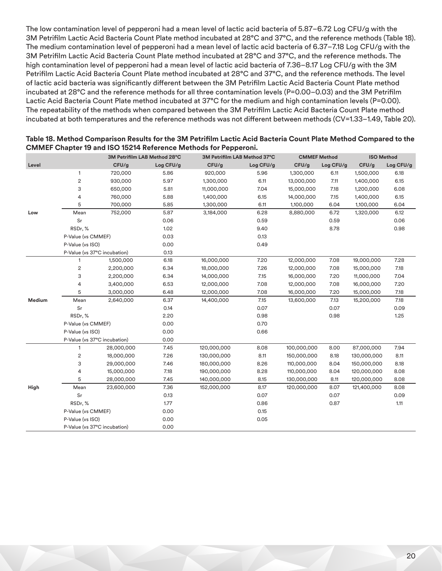The low contamination level of pepperoni had a mean level of lactic acid bacteria of 5.87–6.72 Log CFU/g with the 3M Petrifilm Lactic Acid Bacteria Count Plate method incubated at 28°C and 37°C, and the reference methods (Table 18). The medium contamination level of pepperoni had a mean level of lactic acid bacteria of 6.37–7.18 Log CFU/g with the 3M Petrifilm Lactic Acid Bacteria Count Plate method incubated at 28°C and 37°C, and the reference methods. The high contamination level of pepperoni had a mean level of lactic acid bacteria of 7.36–8.17 Log CFU/g with the 3M Petrifilm Lactic Acid Bacteria Count Plate method incubated at 28°C and 37°C, and the reference methods. The level of lactic acid bacteria was significantly different between the 3M Petrifilm Lactic Acid Bacteria Count Plate method incubated at 28°C and the reference methods for all three contamination levels (P=0.00–0.03) and the 3M Petrifilm Lactic Acid Bacteria Count Plate method incubated at 37°C for the medium and high contamination levels (P=0.00). The repeatability of the methods when compared between the 3M Petrifilm Lactic Acid Bacteria Count Plate method incubated at both temperatures and the reference methods was not different between methods (CV=1.33–1.49, Table 20).

|        |                              | 3M Petrifilm LAB Method 28°C<br>3M Petrifilm LAB Method 37°C |           |             | <b>CMMEF Method</b> |             | <b>ISO Method</b> |             |           |
|--------|------------------------------|--------------------------------------------------------------|-----------|-------------|---------------------|-------------|-------------------|-------------|-----------|
| Level  |                              | CFU/g                                                        | Log CFU/g | CFU/g       | Log CFU/g           | CFU/g       | Log CFU/g         | CFU/g       | Log CFU/g |
|        | $\mathbf{1}$                 | 720,000                                                      | 5.86      | 920,000     | 5.96                | 1,300,000   | 6.11              | 1,500,000   | 6.18      |
| Low    | $\overline{\mathbf{c}}$      | 930,000                                                      | 5.97      | 1,300,000   | 6.11                | 13,000,000  | 7.11              | 1,400,000   | 6.15      |
|        | 3                            | 650,000                                                      | 5.81      | 11,000,000  | 7.04                | 15,000,000  | 7.18              | 1,200,000   | 6.08      |
|        | 4                            | 760,000                                                      | 5.88      | 1,400,000   | 6.15                | 14,000,000  | 7.15              | 1,400,000   | 6.15      |
|        | 5                            | 700,000                                                      | 5.85      | 1,300,000   | 6.11                | 1,100,000   | 6.04              | 1,100,000   | 6.04      |
|        | Mean                         | 752,000                                                      | 5.87      | 3,184,000   | 6.28                | 8,880,000   | 6.72              | 1,320,000   | 6.12      |
|        | Sr                           |                                                              | 0.06      |             | 0.59                |             | 0.59              |             | 0.06      |
|        | RSDr, %                      |                                                              | 1.02      |             | 9.40                |             | 8.78              |             | 0.98      |
|        |                              | P-Value (vs CMMEF)                                           |           |             | 0.13                |             |                   |             |           |
|        |                              | P-Value (vs ISO)                                             |           |             | 0.49                |             |                   |             |           |
|        | P-Value (vs 37°C incubation) |                                                              | 0.13      |             |                     |             |                   |             |           |
|        | $\mathbf{1}$                 | 1,500,000                                                    | 6.18      | 16,000,000  | 7.20                | 12,000,000  | 7.08              | 19,000,000  | 7.28      |
|        | 2                            | 2,200,000                                                    | 6.34      | 18,000,000  | 7.26                | 12,000,000  | 7.08              | 15,000,000  | 7.18      |
|        | 3                            | 2,200,000                                                    | 6.34      | 14,000,000  | 7.15                | 16,000,000  | 7.20              | 11,000,000  | 7.04      |
|        | 4                            | 3,400,000                                                    | 6.53      | 12,000,000  | 7.08                | 12,000,000  | 7.08              | 16,000,000  | 7.20      |
|        | 5                            | 3,000,000                                                    | 6.48      | 12,000,000  | 7.08                | 16,000,000  | 7.20              | 15,000,000  | 7.18      |
| Medium | Mean                         | 2,640,000                                                    | 6.37      | 14,400,000  | 7.15                | 13,600,000  | 7.13              | 15,200,000  | 7.18      |
|        | Sr                           |                                                              | 0.14      |             | 0.07                |             | 0.07              |             | 0.09      |
|        | RSDr, %                      |                                                              | 2.20      |             | 0.98                |             | 0.98              |             | 1.25      |
|        | P-Value (vs CMMEF)           |                                                              | 0.00      |             | 0.70                |             |                   |             |           |
|        | P-Value (vs ISO)             |                                                              | 0.00      |             | 0.66                |             |                   |             |           |
|        | P-Value (vs 37°C incubation) |                                                              | 0.00      |             |                     |             |                   |             |           |
| High   | 1                            | 28,000,000                                                   | 7.45      | 120,000,000 | 8.08                | 100,000,000 | 8.00              | 87,000,000  | 7.94      |
|        | 2                            | 18,000,000                                                   | 7.26      | 130,000,000 | 8.11                | 150,000,000 | 8.18              | 130,000,000 | 8.11      |
|        | 3                            | 29,000,000                                                   | 7.46      | 180,000,000 | 8.26                | 110,000,000 | 8.04              | 150,000,000 | 8.18      |
|        | 4                            | 15,000,000                                                   | 7.18      | 190,000,000 | 8.28                | 110,000,000 | 8.04              | 120,000,000 | 8.08      |
|        | 5                            | 28,000,000                                                   | 7.45      | 140,000,000 | 8.15                | 130,000,000 | 8.11              | 120,000,000 | 8.08      |
|        | Mean                         | 23,600,000                                                   | 7.36      | 152,000,000 | 8.17                | 120,000,000 | 8.07              | 121,400,000 | 8.08      |
|        | Sr                           |                                                              | 0.13      |             | 0.07                |             | 0.07              |             | 0.09      |
|        | RSDr, %                      |                                                              | 1.77      |             | 0.86                |             | 0.87              |             | 1.11      |
|        | P-Value (vs CMMEF)           |                                                              | 0.00      |             | 0.15                |             |                   |             |           |
|        | P-Value (vs ISO)             |                                                              | 0.00      |             | 0.05                |             |                   |             |           |
|        | P-Value (vs 37°C incubation) |                                                              | 0.00      |             |                     |             |                   |             |           |

#### **Table 18. Method Comparison Results for the 3M Petrifilm Lactic Acid Bacteria Count Plate Method Compared to the CMMEF Chapter 19 and ISO 15214 Reference Methods for Pepperoni.**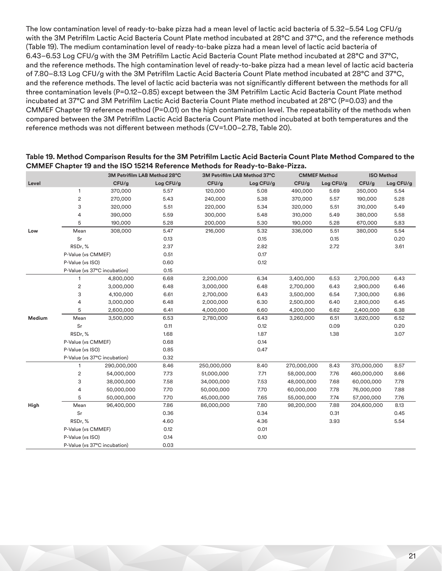The low contamination level of ready-to-bake pizza had a mean level of lactic acid bacteria of 5.32–5.54 Log CFU/g with the 3M Petrifilm Lactic Acid Bacteria Count Plate method incubated at 28°C and 37°C, and the reference methods (Table 19). The medium contamination level of ready-to-bake pizza had a mean level of lactic acid bacteria of 6.43–6.53 Log CFU/g with the 3M Petrifilm Lactic Acid Bacteria Count Plate method incubated at 28°C and 37°C, and the reference methods. The high contamination level of ready-to-bake pizza had a mean level of lactic acid bacteria of 7.80–8.13 Log CFU/g with the 3M Petrifilm Lactic Acid Bacteria Count Plate method incubated at 28°C and 37°C, and the reference methods. The level of lactic acid bacteria was not significantly different between the methods for all three contamination levels (P=0.12–0.85) except between the 3M Petrifilm Lactic Acid Bacteria Count Plate method incubated at 37°C and 3M Petrifilm Lactic Acid Bacteria Count Plate method incubated at 28°C (P=0.03) and the CMMEF Chapter 19 reference method (P=0.01) on the high contamination level. The repeatability of the methods when compared between the 3M Petrifilm Lactic Acid Bacteria Count Plate method incubated at both temperatures and the reference methods was not different between methods (CV=1.00–2.78, Table 20).

|        |                              | 3M Petrifilm LAB Method 28°C<br>3M Petrifilm LAB Method 37°C |           |             | <b>CMMEF Method</b> |             | <b>ISO Method</b> |             |           |
|--------|------------------------------|--------------------------------------------------------------|-----------|-------------|---------------------|-------------|-------------------|-------------|-----------|
| Level  |                              | CFU/g                                                        | Log CFU/g | CFU/g       | Log CFU/g           | CFU/g       | Log CFU/g         | CFU/g       | Log CFU/g |
| Low    | 1                            | 370,000                                                      | 5.57      | 120,000     | 5.08                | 490,000     | 5.69              | 350,000     | 5.54      |
|        | $\mathbf{2}$                 | 270,000                                                      | 5.43      | 240,000     | 5.38                | 370,000     | 5.57              | 190,000     | 5.28      |
|        | 3                            | 320,000                                                      | 5.51      | 220,000     | 5.34                | 320,000     | 5.51              | 310,000     | 5.49      |
|        | 4                            | 390,000                                                      | 5.59      | 300,000     | 5.48                | 310,000     | 5.49              | 380,000     | 5.58      |
|        | 5                            | 190,000                                                      | 5.28      | 200,000     | 5.30                | 190,000     | 5.28              | 670,000     | 5.83      |
|        | Mean                         | 308,000                                                      | 5.47      | 216,000     | 5.32                | 336,000     | 5.51              | 380,000     | 5.54      |
|        | Sr                           |                                                              | 0.13      |             | 0.15                |             | 0.15              |             | 0.20      |
|        | RSDr, %                      |                                                              | 2.37      |             | 2.82                |             | 2.72              |             | 3.61      |
|        |                              | P-Value (vs CMMEF)                                           |           |             | 0.17                |             |                   |             |           |
|        | P-Value (vs ISO)             |                                                              | 0.60      |             | 0.12                |             |                   |             |           |
|        | P-Value (vs 37°C incubation) |                                                              | 0.15      |             |                     |             |                   |             |           |
|        | $\mathbf{1}$                 | 4,800,000                                                    | 6.68      | 2,200,000   | 6.34                | 3,400,000   | 6.53              | 2,700,000   | 6.43      |
|        | $\mathbf{2}$                 | 3,000,000                                                    | 6.48      | 3,000,000   | 6.48                | 2,700,000   | 6.43              | 2,900,000   | 6.46      |
|        | 3                            | 4,100,000                                                    | 6.61      | 2,700,000   | 6.43                | 3,500,000   | 6.54              | 7,300,000   | 6.86      |
|        | 4                            | 3,000,000                                                    | 6.48      | 2,000,000   | 6.30                | 2,500,000   | 6.40              | 2,800,000   | 6.45      |
|        | 5                            | 2,600,000                                                    | 6.41      | 4,000,000   | 6.60                | 4,200,000   | 6.62              | 2,400,000   | 6.38      |
| Medium | Mean                         | 3,500,000                                                    | 6.53      | 2,780,000   | 6.43                | 3,260,000   | 6.51              | 3,620,000   | 6.52      |
|        | Sr                           |                                                              | 0.11      |             | 0.12                |             | 0.09              |             | 0.20      |
|        | RSDr, %                      |                                                              | 1.68      |             | 1.87                |             | 1.38              |             | 3.07      |
|        | P-Value (vs CMMEF)           |                                                              | 0.68      |             | 0.14                |             |                   |             |           |
|        | P-Value (vs ISO)             |                                                              | 0.85      |             | 0.47                |             |                   |             |           |
|        | P-Value (vs 37°C incubation) |                                                              | 0.32      |             |                     |             |                   |             |           |
|        | $\overline{1}$               | 290,000,000                                                  | 8.46      | 250,000,000 | 8.40                | 270,000,000 | 8.43              | 370,000,000 | 8.57      |
|        | $\overline{\mathbf{c}}$      | 54,000,000                                                   | 7.73      | 51,000,000  | 7.71                | 58,000,000  | 7.76              | 460,000,000 | 8.66      |
|        | 3                            | 38,000,000                                                   | 7.58      | 34,000,000  | 7.53                | 48,000,000  | 7.68              | 60,000,000  | 7.78      |
| High   | 4                            | 50,000,000                                                   | 7.70      | 50,000,000  | 7.70                | 60,000,000  | 7.78              | 76,000,000  | 7.88      |
|        | 5                            | 50,000,000                                                   | 7.70      | 45,000,000  | 7.65                | 55,000,000  | 7.74              | 57,000,000  | 7.76      |
|        | Mean                         | 96,400,000                                                   | 7.86      | 86,000,000  | 7.80                | 98,200,000  | 7.88              | 204,600,000 | 8.13      |
|        | Sr                           |                                                              | 0.36      |             | 0.34                |             | 0.31              |             | 0.45      |
|        | RSDr,%                       |                                                              | 4.60      |             | 4.36                |             | 3.93              |             | 5.54      |
|        | P-Value (vs CMMEF)           |                                                              | 0.12      |             | 0.01                |             |                   |             |           |
|        | P-Value (vs ISO)             |                                                              | 0.14      |             | 0.10                |             |                   |             |           |
|        | P-Value (vs 37°C incubation) |                                                              | 0.03      |             |                     |             |                   |             |           |

#### **Table 19. Method Comparison Results for the 3M Petrifilm Lactic Acid Bacteria Count Plate Method Compared to the CMMEF Chapter 19 and the ISO 15214 Reference Methods for Ready-to-Bake-Pizza.**